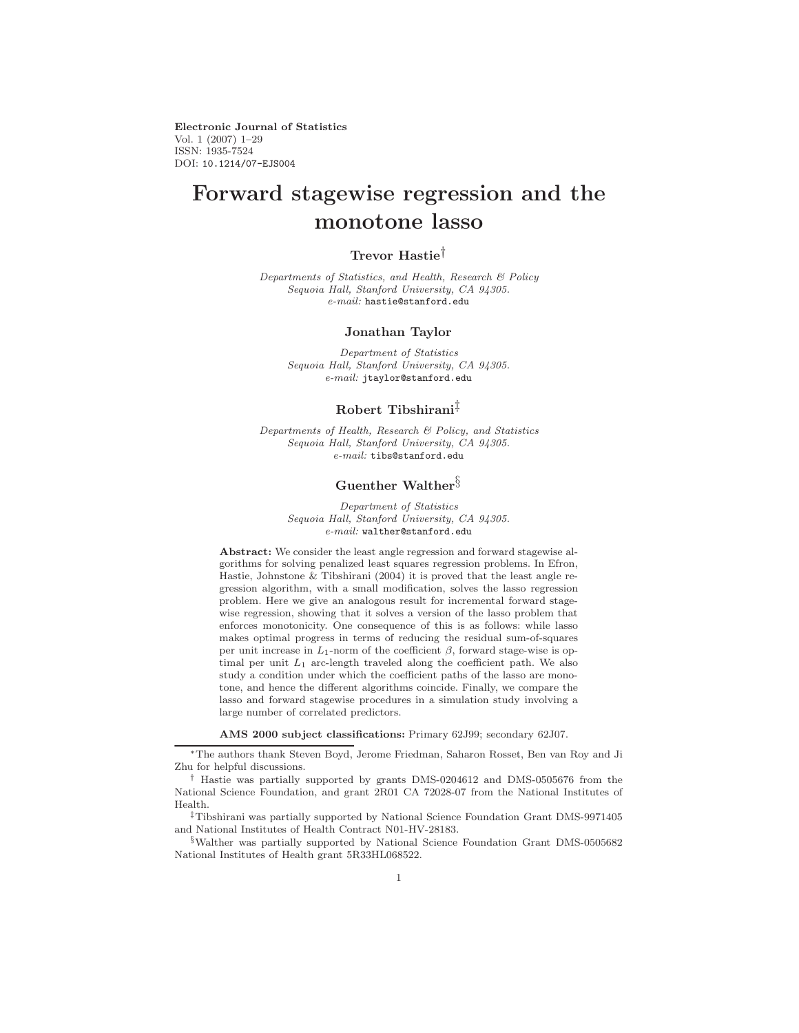**Electronic Journal of Statistics** Vol. 1 (2007) 1–29 ISSN: 1935-7524 DOI: 10.1214/07-EJS004

# **Forward stagewise regression and the monotone lasso**

# **Trevor Hastie**†

Departments of Statistics, and Health, Research & Policy Sequoia Hall, Stanford University, CA 94305.  $e\text{-}mail:$  hastie@stanford.edu

#### **Jonathan Taylor**

Department of Statistics Sequoia Hall, Stanford University, CA 94305. e-mail: jtaylor@stanford.edu

# **Robert Tibshirani**‡

Departments of Health, Research & Policy, and Statistics Sequoia Hall, Stanford University, CA 94305. e-mail: tibs@stanford.edu

# **Guenther Walther**§

Department of Statistics Sequoia Hall, Stanford University, CA 94305.  $e\text{-}mail:$  walther@stanford.edu

**Abstract:** We consider the least angle regression and forward stagewise algorithms for solving penalized least squares regression problems. In Efron, Hastie, Johnstone & Tibshirani (2004) it is proved that the least angle regression algorithm, with a small modification, solves the lasso regression problem. Here we give an analogous result for incremental forward stagewise regression, showing that it solves a version of the lasso problem that enforces monotonicity. One consequence of this is as follows: while lasso makes optimal progress in terms of reducing the residual sum-of-squares per unit increase in  $L_1$ -norm of the coefficient  $\beta$ , forward stage-wise is optimal per unit  $L_1$  arc-length traveled along the coefficient path. We also study a condition under which the coefficient paths of the lasso are monotone, and hence the different algorithms coincide. Finally, we compare the lasso and forward stagewise procedures in a simulation study involving a large number of correlated predictors.

**AMS 2000 subject classifications:** Primary 62J99; secondary 62J07.

‡Tibshirani was partially supported by National Science Foundation Grant DMS-9971405 and National Institutes of Health Contract N01-HV-28183.

§Walther was partially supported by National Science Foundation Grant DMS-0505682 National Institutes of Health grant 5R33HL068522.

<sup>∗</sup>The authors thank Steven Boyd, Jerome Friedman, Saharon Rosset, Ben van Roy and Ji Zhu for helpful discussions.

<sup>†</sup> Hastie was partially supported by grants DMS-0204612 and DMS-0505676 from the National Science Foundation, and grant 2R01 CA 72028-07 from the National Institutes of Health.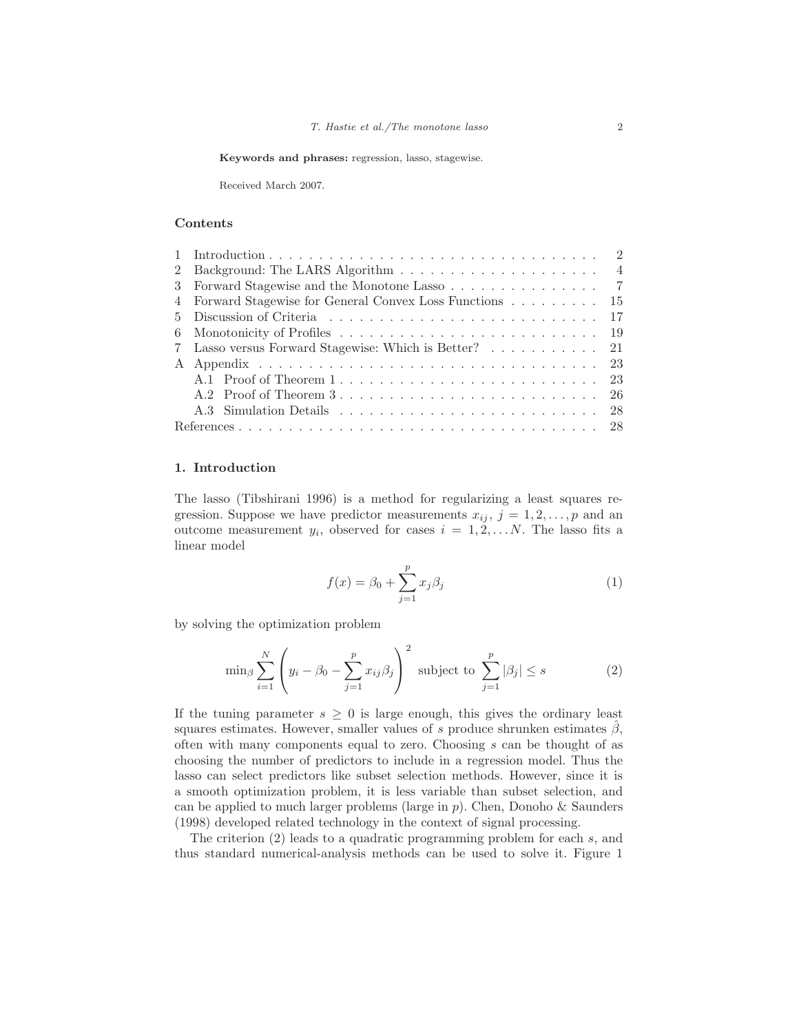**Keywords and phrases:** regression, lasso, stagewise.

Received March 2007.

#### **Contents**

| 3 Forward Stagewise and the Monotone Lasso 7             |  |
|----------------------------------------------------------|--|
| 4 Forward Stagewise for General Convex Loss Functions 15 |  |
|                                                          |  |
|                                                          |  |
| 7 Lasso versus Forward Stagewise: Which is Better?  21   |  |
|                                                          |  |
|                                                          |  |
|                                                          |  |
|                                                          |  |
|                                                          |  |

### **1. Introduction**

The lasso (Tibshirani 1996) is a method for regularizing a least squares regression. Suppose we have predictor measurements  $x_{ij}$ ,  $j = 1, 2, \ldots, p$  and an outcome measurement  $y_i$ , observed for cases  $i = 1, 2, \ldots N$ . The lasso fits a linear model

$$
f(x) = \beta_0 + \sum_{j=1}^{p} x_j \beta_j
$$
 (1)

by solving the optimization problem

$$
\min_{\beta} \sum_{i=1}^{N} \left( y_i - \beta_0 - \sum_{j=1}^{p} x_{ij} \beta_j \right)^2 \text{ subject to } \sum_{j=1}^{p} |\beta_j| \le s \tag{2}
$$

If the tuning parameter  $s \geq 0$  is large enough, this gives the ordinary least squares estimates. However, smaller values of s produce shrunken estimates  $\beta$ , often with many components equal to zero. Choosing s can be thought of as choosing the number of predictors to include in a regression model. Thus the lasso can select predictors like subset selection methods. However, since it is a smooth optimization problem, it is less variable than subset selection, and can be applied to much larger problems (large in  $p$ ). Chen, Donoho & Saunders (1998) developed related technology in the context of signal processing.

The criterion (2) leads to a quadratic programming problem for each s, and thus standard numerical-analysis methods can be used to solve it. Figure 1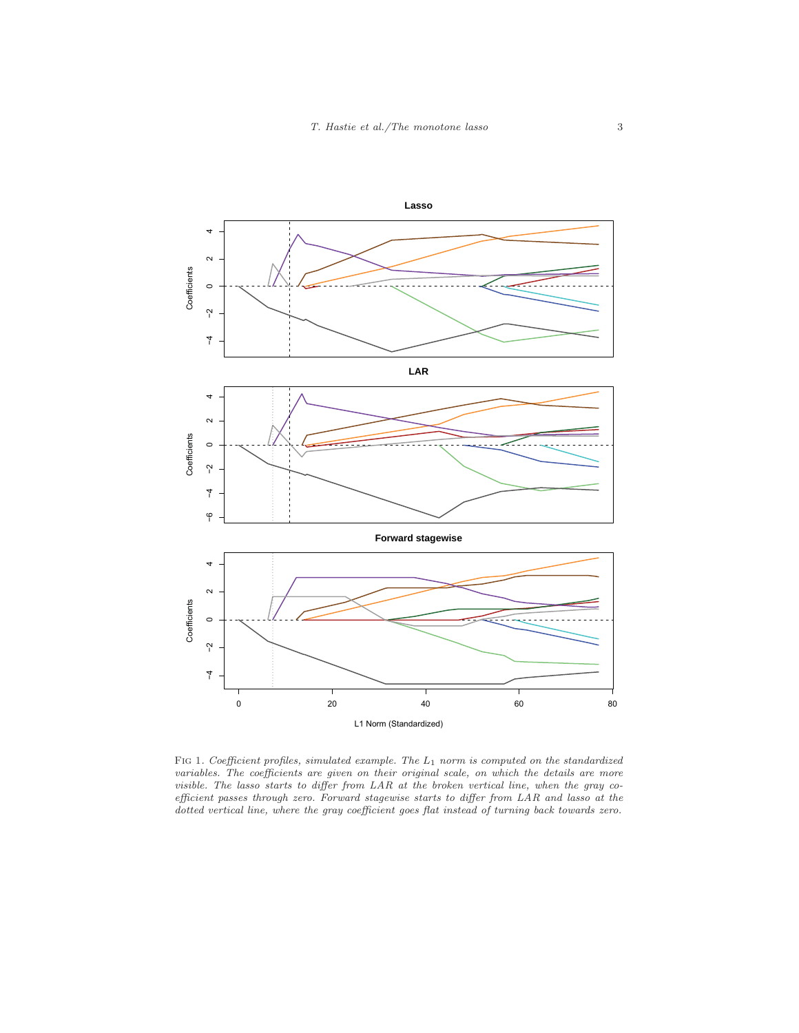

FIG 1. Coefficient profiles, simulated example. The  $L_1$  norm is computed on the standardized variables. The coefficients are given on their original scale, on which the details are more visible. The lasso starts to differ from LAR at the broken vertical line, when the gray coefficient passes through zero. Forward stagewise starts to differ from LAR and lasso at the dotted vertical line, where the gray coefficient goes flat instead of turning back towards zero.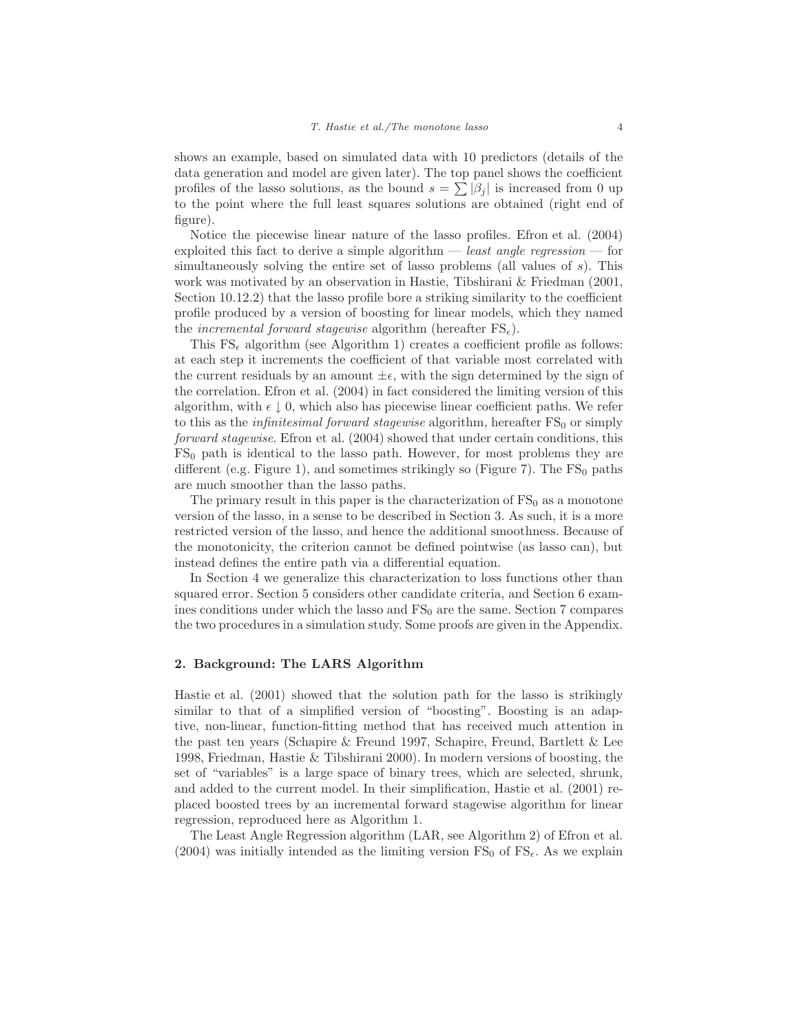shows an example, based on simulated data with 10 predictors (details of the data generation and model are given later). The top panel shows the coefficient profiles of the lasso solutions, as the bound  $s = \sum |\beta_i|$  is increased from 0 up to the point where the full least squares solutions are obtained (right end of figure).

Notice the piecewise linear nature of the lasso profiles. Efron et al. (2004) exploited this fact to derive a simple algorithm — least angle regression — for simultaneously solving the entire set of lasso problems (all values of s). This work was motivated by an observation in Hastie, Tibshirani & Friedman (2001, Section 10.12.2) that the lasso profile bore a striking similarity to the coefficient profile produced by a version of boosting for linear models, which they named the *incremental forward stagewise* algorithm (hereafter  $\text{FS}_{\epsilon}$ ).

This  $FS_{\epsilon}$  algorithm (see Algorithm 1) creates a coefficient profile as follows: at each step it increments the coefficient of that variable most correlated with the current residuals by an amount  $\pm \epsilon$ , with the sign determined by the sign of the correlation. Efron et al. (2004) in fact considered the limiting version of this algorithm, with  $\epsilon \downarrow 0$ , which also has piecewise linear coefficient paths. We refer to this as the *infinitesimal forward stagewise* algorithm, hereafter  $FS_0$  or simply forward stagewise. Efron et al. (2004) showed that under certain conditions, this  $FS<sub>0</sub>$  path is identical to the lasso path. However, for most problems they are different (e.g. Figure 1), and sometimes strikingly so (Figure 7). The  $FS_0$  paths are much smoother than the lasso paths.

The primary result in this paper is the characterization of  $FS_0$  as a monotone version of the lasso, in a sense to be described in Section 3. As such, it is a more restricted version of the lasso, and hence the additional smoothness. Because of the monotonicity, the criterion cannot be defined pointwise (as lasso can), but instead defines the entire path via a differential equation.

In Section 4 we generalize this characterization to loss functions other than squared error. Section 5 considers other candidate criteria, and Section 6 examines conditions under which the lasso and  $FS_0$  are the same. Section 7 compares the two procedures in a simulation study. Some proofs are given in the Appendix.

#### **2. Background: The LARS Algorithm**

Hastie et al. (2001) showed that the solution path for the lasso is strikingly similar to that of a simplified version of "boosting". Boosting is an adaptive, non-linear, function-fitting method that has received much attention in the past ten years (Schapire & Freund 1997, Schapire, Freund, Bartlett & Lee 1998, Friedman, Hastie & Tibshirani 2000). In modern versions of boosting, the set of "variables" is a large space of binary trees, which are selected, shrunk, and added to the current model. In their simplification, Hastie et al. (2001) replaced boosted trees by an incremental forward stagewise algorithm for linear regression, reproduced here as Algorithm 1.

The Least Angle Regression algorithm (LAR, see Algorithm 2) of Efron et al. (2004) was initially intended as the limiting version  $\text{FS}_0$  of  $\text{FS}_\epsilon$ . As we explain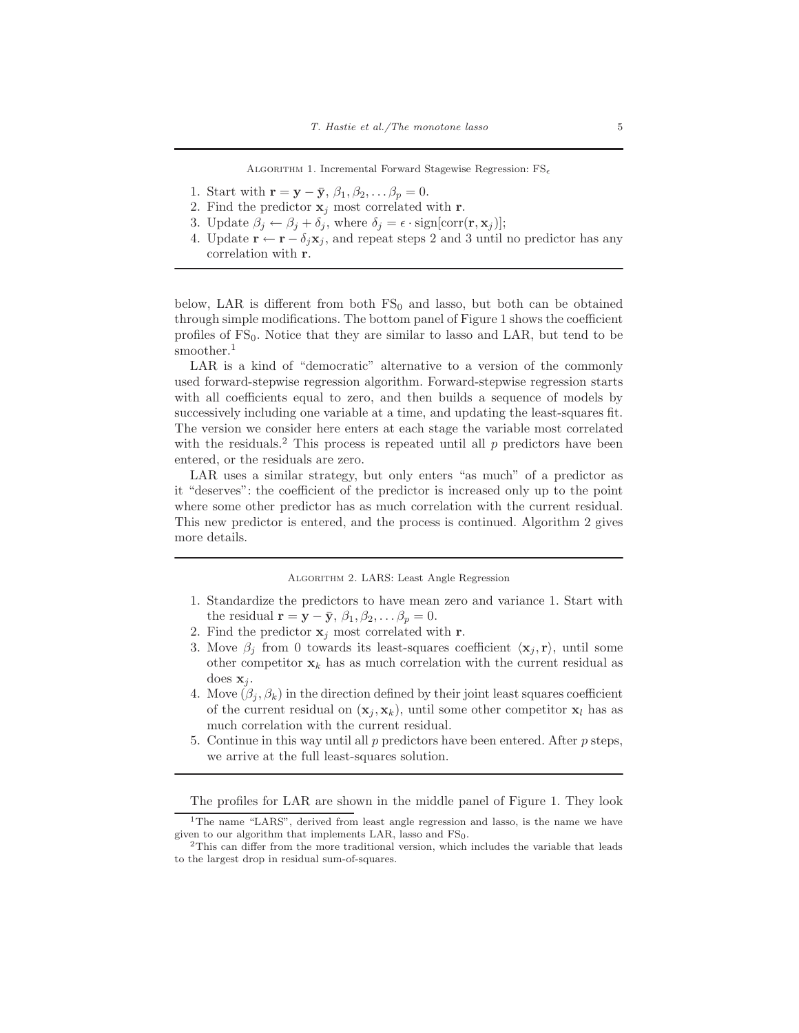ALGORITHM 1. Incremental Forward Stagewise Regression:  $FS_{\epsilon}$ 

- 1. Start with  $\mathbf{r} = \mathbf{y} \bar{\mathbf{y}}, \beta_1, \beta_2, \dots \beta_p = 0.$
- 2. Find the predictor  $\mathbf{x}_j$  most correlated with **r**.
- 3. Update  $\beta_i \leftarrow \beta_i + \delta_i$ , where  $\delta_i = \epsilon \cdot \text{sign}[\text{corr}(\mathbf{r}, \mathbf{x}_i)]$ ;
- 4. Update  $\mathbf{r} \leftarrow \mathbf{r} \delta_i \mathbf{x}_i$ , and repeat steps 2 and 3 until no predictor has any correlation with **r**.

below, LAR is different from both  $FS_0$  and lasso, but both can be obtained through simple modifications. The bottom panel of Figure 1 shows the coefficient profiles of  $FS_0$ . Notice that they are similar to lasso and LAR, but tend to be smoother.<sup>1</sup>

LAR is a kind of "democratic" alternative to a version of the commonly used forward-stepwise regression algorithm. Forward-stepwise regression starts with all coefficients equal to zero, and then builds a sequence of models by successively including one variable at a time, and updating the least-squares fit. The version we consider here enters at each stage the variable most correlated with the residuals.<sup>2</sup> This process is repeated until all  $p$  predictors have been entered, or the residuals are zero.

LAR uses a similar strategy, but only enters "as much" of a predictor as it "deserves": the coefficient of the predictor is increased only up to the point where some other predictor has as much correlation with the current residual. This new predictor is entered, and the process is continued. Algorithm 2 gives more details.

Algorithm 2. LARS: Least Angle Regression

- 1. Standardize the predictors to have mean zero and variance 1. Start with the residual  $\mathbf{r} = \mathbf{y} - \bar{\mathbf{y}}, \beta_1, \beta_2, \ldots \beta_p = 0.$
- 2. Find the predictor  $\mathbf{x}_i$  most correlated with **r**.
- 3. Move  $\beta_j$  from 0 towards its least-squares coefficient  $\langle \mathbf{x}_j, \mathbf{r} \rangle$ , until some other competitor  $\mathbf{x}_k$  has as much correlation with the current residual as does  $\mathbf{x}_i$ .
- 4. Move  $(\beta_i, \beta_k)$  in the direction defined by their joint least squares coefficient of the current residual on  $(\mathbf{x}_j, \mathbf{x}_k)$ , until some other competitor  $\mathbf{x}_l$  has as much correlation with the current residual.
- 5. Continue in this way until all  $p$  predictors have been entered. After  $p$  steps, we arrive at the full least-squares solution.

The profiles for LAR are shown in the middle panel of Figure 1. They look

<sup>&</sup>lt;sup>1</sup>The name "LARS", derived from least angle regression and lasso, is the name we have given to our algorithm that implements LAR, lasso and  $FS<sub>0</sub>$ .<br><sup>2</sup>This can differ from the more traditional version, which includes the variable that leads

to the largest drop in residual sum-of-squares.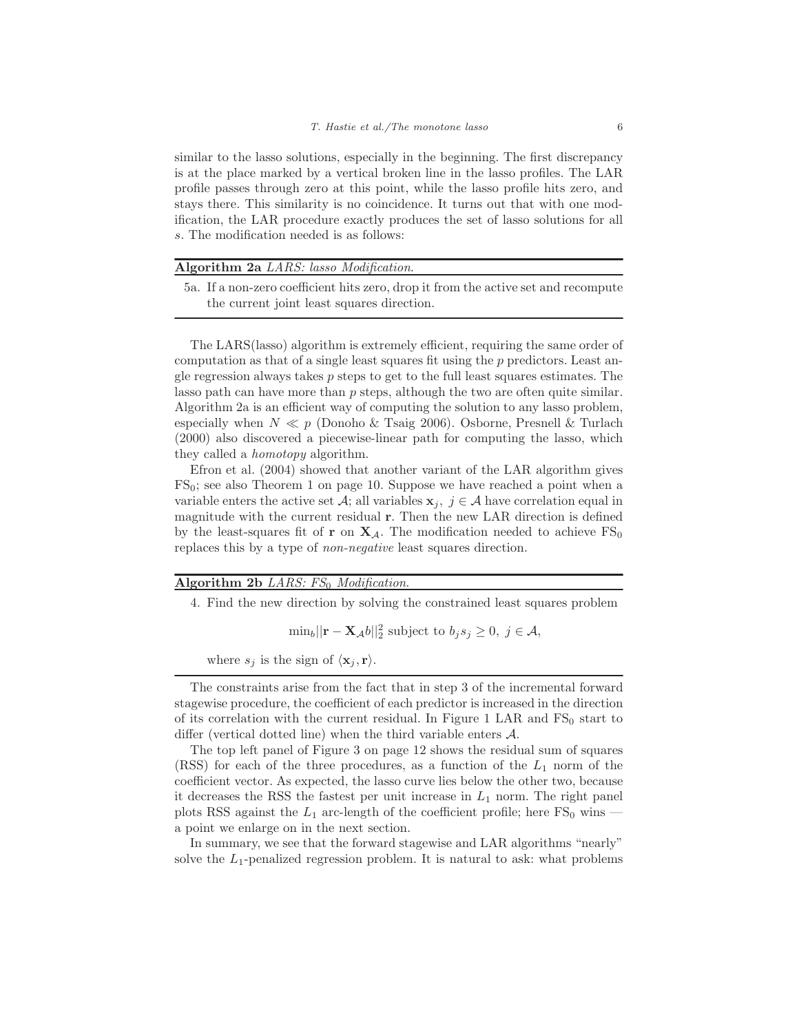similar to the lasso solutions, especially in the beginning. The first discrepancy is at the place marked by a vertical broken line in the lasso profiles. The LAR profile passes through zero at this point, while the lasso profile hits zero, and stays there. This similarity is no coincidence. It turns out that with one modification, the LAR procedure exactly produces the set of lasso solutions for all s. The modification needed is as follows:

## **Algorithm 2a** LARS: lasso Modification.

5a. If a non-zero coefficient hits zero, drop it from the active set and recompute the current joint least squares direction.

The LARS(lasso) algorithm is extremely efficient, requiring the same order of computation as that of a single least squares fit using the p predictors. Least angle regression always takes  $p$  steps to get to the full least squares estimates. The lasso path can have more than  $p$  steps, although the two are often quite similar. Algorithm 2a is an efficient way of computing the solution to any lasso problem, especially when  $N \ll p$  (Donoho & Tsaig 2006). Osborne, Presnell & Turlach (2000) also discovered a piecewise-linear path for computing the lasso, which they called a homotopy algorithm.

Efron et al. (2004) showed that another variant of the LAR algorithm gives  $FS_0$ ; see also Theorem 1 on page 10. Suppose we have reached a point when a variable enters the active set A; all variables  $\mathbf{x}_j, j \in \mathcal{A}$  have correlation equal in magnitude with the current residual **r**. Then the new LAR direction is defined by the least-squares fit of **r** on  $X_A$ . The modification needed to achieve  $FS_0$ replaces this by a type of non-negative least squares direction.

# **Algorithm 2b** LARS:  $FS_0$  Modification.

4. Find the new direction by solving the constrained least squares problem

 $\min_b ||\mathbf{r} - \mathbf{X}_{\mathcal{A}}b||_2^2$  subject to  $b_j s_j \geq 0, j \in \mathcal{A}$ ,

where  $s_j$  is the sign of  $\langle \mathbf{x}_j, \mathbf{r} \rangle$ .

In summary, we see that the forward stagewise and LAR algorithms "nearly" solve the  $L_1$ -penalized regression problem. It is natural to ask: what problems

The constraints arise from the fact that in step 3 of the incremental forward stagewise procedure, the coefficient of each predictor is increased in the direction of its correlation with the current residual. In Figure 1 LAR and  $FS<sub>0</sub>$  start to differ (vertical dotted line) when the third variable enters A.

The top left panel of Figure 3 on page 12 shows the residual sum of squares (RSS) for each of the three procedures, as a function of the  $L_1$  norm of the coefficient vector. As expected, the lasso curve lies below the other two, because it decreases the RSS the fastest per unit increase in  $L_1$  norm. The right panel plots RSS against the  $L_1$  arc-length of the coefficient profile; here FS<sub>0</sub> wins a point we enlarge on in the next section.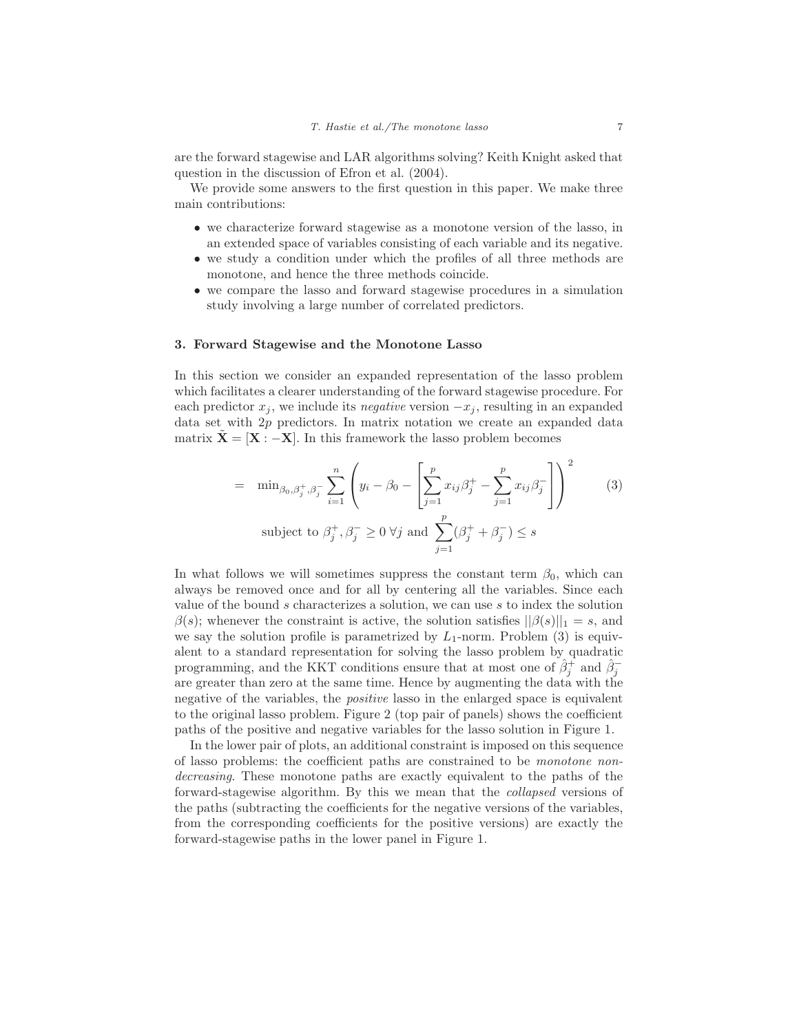are the forward stagewise and LAR algorithms solving? Keith Knight asked that question in the discussion of Efron et al. (2004).

We provide some answers to the first question in this paper. We make three main contributions:

- we characterize forward stagewise as a monotone version of the lasso, in an extended space of variables consisting of each variable and its negative.
- we study a condition under which the profiles of all three methods are monotone, and hence the three methods coincide.
- we compare the lasso and forward stagewise procedures in a simulation study involving a large number of correlated predictors.

#### **3. Forward Stagewise and the Monotone Lasso**

In this section we consider an expanded representation of the lasso problem which facilitates a clearer understanding of the forward stagewise procedure. For each predictor  $x_j$ , we include its *negative* version  $-x_j$ , resulting in an expanded data set with 2p predictors. In matrix notation we create an expanded data matrix  $X = [X : -X]$ . In this framework the lasso problem becomes

$$
= \min_{\beta_0, \beta_j^+, \beta_j^-} \sum_{i=1}^n \left( y_i - \beta_0 - \left[ \sum_{j=1}^p x_{ij} \beta_j^+ - \sum_{j=1}^p x_{ij} \beta_j^- \right] \right)^2 \qquad (3)
$$
  
subject to  $\beta_j^+, \beta_j^- \ge 0$   $\forall j$  and  $\sum_{j=1}^p (\beta_j^+ + \beta_j^-) \le s$ 

In what follows we will sometimes suppress the constant term  $\beta_0$ , which can always be removed once and for all by centering all the variables. Since each value of the bound s characterizes a solution, we can use s to index the solution  $\beta(s)$ ; whenever the constraint is active, the solution satisfies  $||\beta(s)||_1 = s$ , and we say the solution profile is parametrized by  $L_1$ -norm. Problem (3) is equivalent to a standard representation for solving the lasso problem by quadratic programming, and the KKT conditions ensure that at most one of  $\hat{\beta}_i^+$  and  $\hat{\beta}_i^$ are greater than zero at the same time. Hence by augmenting the data with the negative of the variables, the *positive* lasso in the enlarged space is equivalent to the original lasso problem. Figure 2 (top pair of panels) shows the coefficient paths of the positive and negative variables for the lasso solution in Figure 1.

In the lower pair of plots, an additional constraint is imposed on this sequence of lasso problems: the coefficient paths are constrained to be monotone nondecreasing. These monotone paths are exactly equivalent to the paths of the forward-stagewise algorithm. By this we mean that the collapsed versions of the paths (subtracting the coefficients for the negative versions of the variables, from the corresponding coefficients for the positive versions) are exactly the forward-stagewise paths in the lower panel in Figure 1.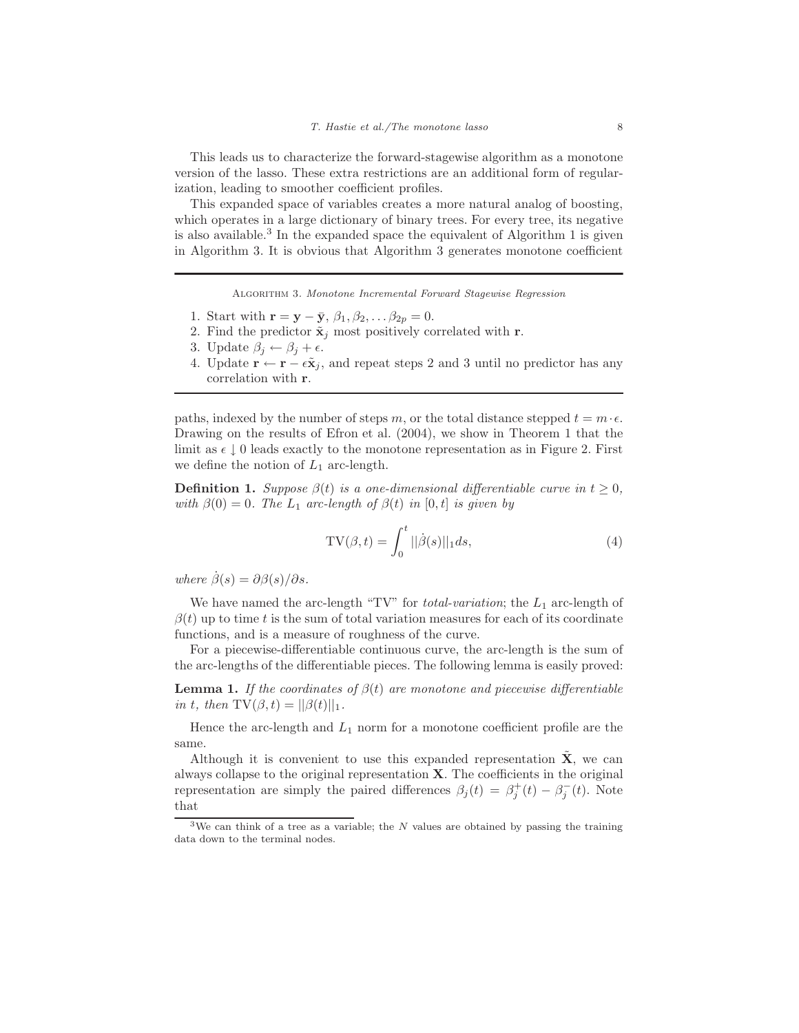This leads us to characterize the forward-stagewise algorithm as a monotone version of the lasso. These extra restrictions are an additional form of regularization, leading to smoother coefficient profiles.

This expanded space of variables creates a more natural analog of boosting, which operates in a large dictionary of binary trees. For every tree, its negative is also available.<sup>3</sup> In the expanded space the equivalent of Algorithm 1 is given in Algorithm 3. It is obvious that Algorithm 3 generates monotone coefficient

Algorithm 3. Monotone Incremental Forward Stagewise Regression

- 1. Start with  $\mathbf{r} = \mathbf{y} \bar{\mathbf{y}}, \beta_1, \beta_2, \ldots \beta_{2p} = 0.$
- 2. Find the predictor  $\tilde{\mathbf{x}}_j$  most positively correlated with **r**.
- 3. Update  $\beta_i \leftarrow \beta_i + \epsilon$ .
- 4. Update  $\mathbf{r} \leftarrow \mathbf{r} \epsilon \tilde{\mathbf{x}}_j$ , and repeat steps 2 and 3 until no predictor has any correlation with **r**.

paths, indexed by the number of steps m, or the total distance stepped  $t = m \cdot \epsilon$ . Drawing on the results of Efron et al. (2004), we show in Theorem 1 that the limit as  $\epsilon \downarrow 0$  leads exactly to the monotone representation as in Figure 2. First we define the notion of  $L_1$  arc-length.

**Definition 1.** Suppose  $\beta(t)$  is a one-dimensional differentiable curve in  $t \geq 0$ , with  $\beta(0) = 0$ . The  $L_1$  arc-length of  $\beta(t)$  in  $[0, t]$  is given by

$$
TV(\beta, t) = \int_0^t ||\dot{\beta}(s)||_1 ds,
$$
\n(4)

where  $\dot{\beta}(s) = \partial \beta(s)/\partial s$ .

We have named the arc-length "TV" for *total-variation*; the  $L_1$  arc-length of  $\beta(t)$  up to time t is the sum of total variation measures for each of its coordinate functions, and is a measure of roughness of the curve.

For a piecewise-differentiable continuous curve, the arc-length is the sum of the arc-lengths of the differentiable pieces. The following lemma is easily proved:

**Lemma 1.** If the coordinates of  $\beta(t)$  are monotone and piecewise differentiable in t, then  $TV(\beta, t) = ||\beta(t)||_1$ .

Hence the arc-length and  $L_1$  norm for a monotone coefficient profile are the same.

Although it is convenient to use this expanded representation  $\tilde{\mathbf{X}}$ , we can always collapse to the original representation **X**. The coefficients in the original representation are simply the paired differences  $\beta_j(t) = \beta_i^+(t) - \beta_i^-(t)$ . Note that

<sup>&</sup>lt;sup>3</sup>We can think of a tree as a variable; the N values are obtained by passing the training data down to the terminal nodes.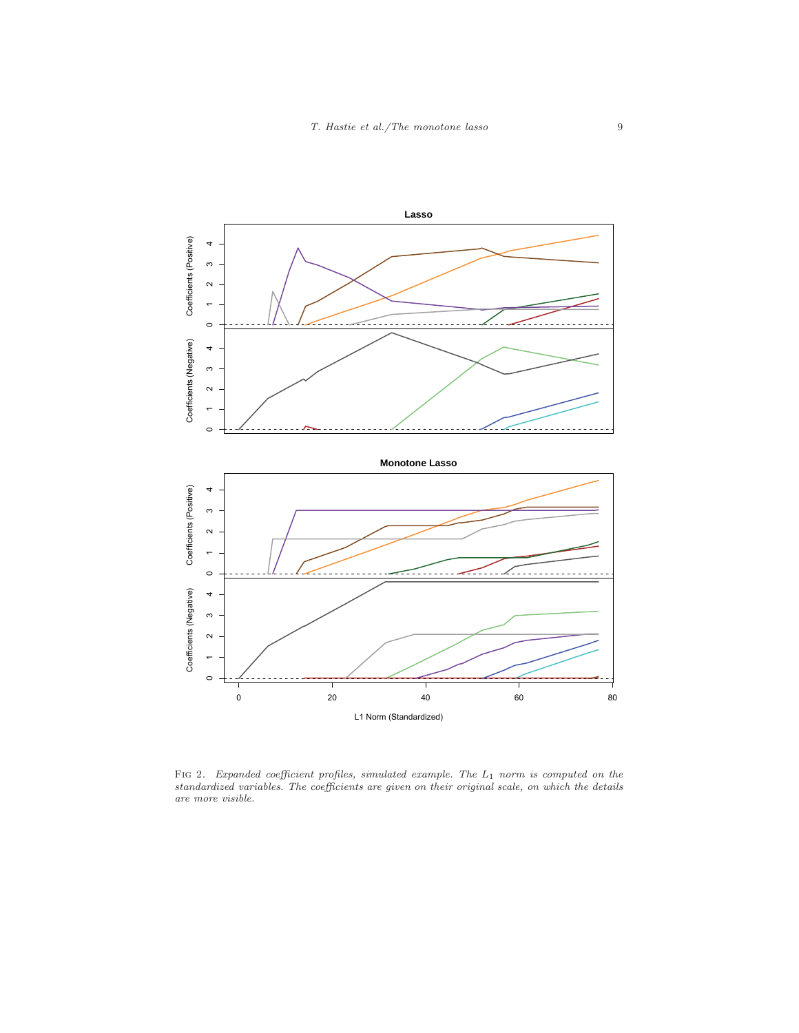

FIG 2. Expanded coefficient profiles, simulated example. The  $L_1$  norm is computed on the standardized variables. The coefficients are given on their original scale, on which the details are more visible.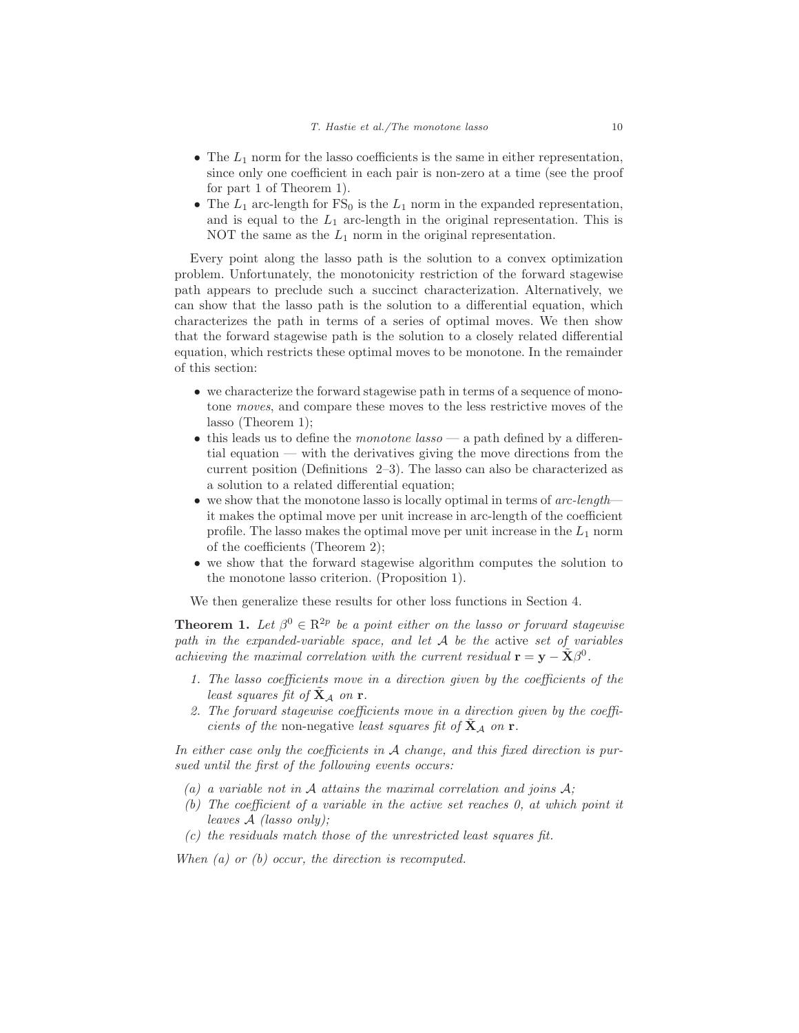- The  $L_1$  norm for the lasso coefficients is the same in either representation, since only one coefficient in each pair is non-zero at a time (see the proof for part 1 of Theorem 1).
- The  $L_1$  arc-length for  $FS_0$  is the  $L_1$  norm in the expanded representation, and is equal to the  $L_1$  arc-length in the original representation. This is NOT the same as the  $L_1$  norm in the original representation.

Every point along the lasso path is the solution to a convex optimization problem. Unfortunately, the monotonicity restriction of the forward stagewise path appears to preclude such a succinct characterization. Alternatively, we can show that the lasso path is the solution to a differential equation, which characterizes the path in terms of a series of optimal moves. We then show that the forward stagewise path is the solution to a closely related differential equation, which restricts these optimal moves to be monotone. In the remainder of this section:

- we characterize the forward stagewise path in terms of a sequence of monotone moves, and compare these moves to the less restrictive moves of the lasso (Theorem 1);
- this leads us to define the *monotone* lasso a path defined by a differential equation — with the derivatives giving the move directions from the current position (Definitions 2–3). The lasso can also be characterized as a solution to a related differential equation;
- we show that the monotone lasso is locally optimal in terms of  $arc-length$  it makes the optimal move per unit increase in arc-length of the coefficient profile. The lasso makes the optimal move per unit increase in the  $L_1$  norm of the coefficients (Theorem 2);
- we show that the forward stagewise algorithm computes the solution to the monotone lasso criterion. (Proposition 1).

We then generalize these results for other loss functions in Section 4.

**Theorem 1.** Let  $\beta^0 \in \mathbb{R}^{2p}$  be a point either on the lasso or forward stagewise path in the expanded-variable space, and let  $A$  be the active set of variables achieving the maximal correlation with the current residual  $\mathbf{r} = \mathbf{y} - \tilde{\mathbf{X}}\beta^0$ .

- 1. The lasso coefficients move in a direction given by the coefficients of the least squares fit of  $X_A$  on **r**.
- 2. The forward stagewise coefficients move in a direction given by the coefficients of the non-negative least squares fit of  $X_A$  on **r**.

In either case only the coefficients in A change, and this fixed direction is pursued until the first of the following events occurs:

- (a) a variable not in  $A$  attains the maximal correlation and joins  $A$ ;
- (b) The coefficient of a variable in the active set reaches 0, at which point it leaves A (lasso only);
- $(c)$  the residuals match those of the unrestricted least squares fit.

When  $(a)$  or  $(b)$  occur, the direction is recomputed.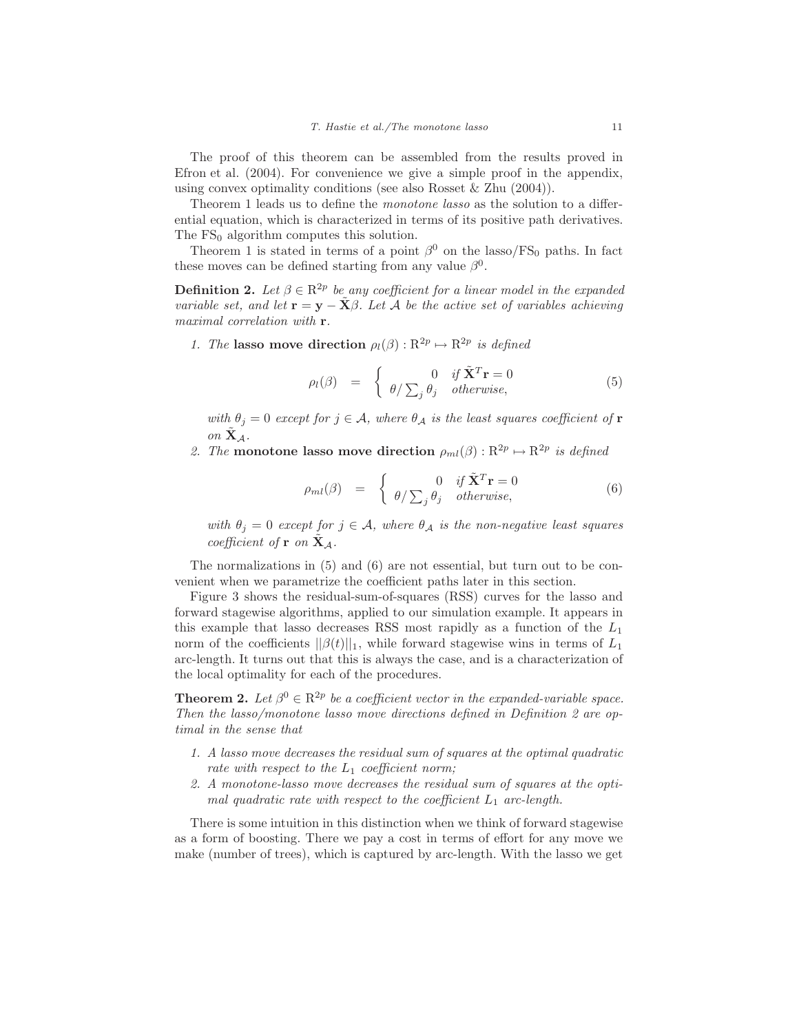The proof of this theorem can be assembled from the results proved in Efron et al. (2004). For convenience we give a simple proof in the appendix, using convex optimality conditions (see also Rosset & Zhu (2004)).

Theorem 1 leads us to define the *monotone* lasso as the solution to a differential equation, which is characterized in terms of its positive path derivatives. The  $FS<sub>0</sub>$  algorithm computes this solution.

Theorem 1 is stated in terms of a point  $\beta^0$  on the lasso/FS<sub>0</sub> paths. In fact these moves can be defined starting from any value  $\beta^0$ .

**Definition 2.** Let  $\beta \in \mathbb{R}^{2p}$  be any coefficient for a linear model in the expanded variable set, and let  $\mathbf{r} = \mathbf{y} - \mathbf{X}\beta$ . Let A be the active set of variables achieving maximal correlation with **r**.

1. The **lasso move direction**  $\rho_l(\beta) : \mathbb{R}^{2p} \to \mathbb{R}^{2p}$  is defined

$$
\rho_l(\beta) = \begin{cases} 0 & \text{if } \tilde{\mathbf{X}}^T \mathbf{r} = 0 \\ \theta / \sum_j \theta_j & otherwise, \end{cases}
$$
\n(5)

with  $\theta_j = 0$  except for  $j \in \mathcal{A}$ , where  $\theta_{\mathcal{A}}$  is the least squares coefficient of **r** on  $X_A$ .

2. The **monotone lasso move direction**  $\rho_{ml}(\beta)$ :  $R^{2p} \mapsto R^{2p}$  is defined

$$
\rho_{ml}(\beta) = \begin{cases} 0 & \text{if } \tilde{\mathbf{X}}^T \mathbf{r} = 0 \\ \theta / \sum_j \theta_j & \text{otherwise,} \end{cases}
$$
 (6)

with  $\theta_j = 0$  except for  $j \in \mathcal{A}$ , where  $\theta_{\mathcal{A}}$  is the non-negative least squares coefficient of **r** on  $X_A$ .

The normalizations in (5) and (6) are not essential, but turn out to be convenient when we parametrize the coefficient paths later in this section.

Figure 3 shows the residual-sum-of-squares (RSS) curves for the lasso and forward stagewise algorithms, applied to our simulation example. It appears in this example that lasso decreases RSS most rapidly as a function of the  $L_1$ norm of the coefficients  $||\beta(t)||_1$ , while forward stagewise wins in terms of  $L_1$ arc-length. It turns out that this is always the case, and is a characterization of the local optimality for each of the procedures.

**Theorem 2.** Let  $\beta^0 \in \mathbb{R}^{2p}$  be a coefficient vector in the expanded-variable space. Then the lasso/monotone lasso move directions defined in Definition 2 are optimal in the sense that

- 1. A lasso move decreases the residual sum of squares at the optimal quadratic rate with respect to the  $L_1$  coefficient norm;
- 2. A monotone-lasso move decreases the residual sum of squares at the optimal quadratic rate with respect to the coefficient  $L_1$  arc-length.

There is some intuition in this distinction when we think of forward stagewise as a form of boosting. There we pay a cost in terms of effort for any move we make (number of trees), which is captured by arc-length. With the lasso we get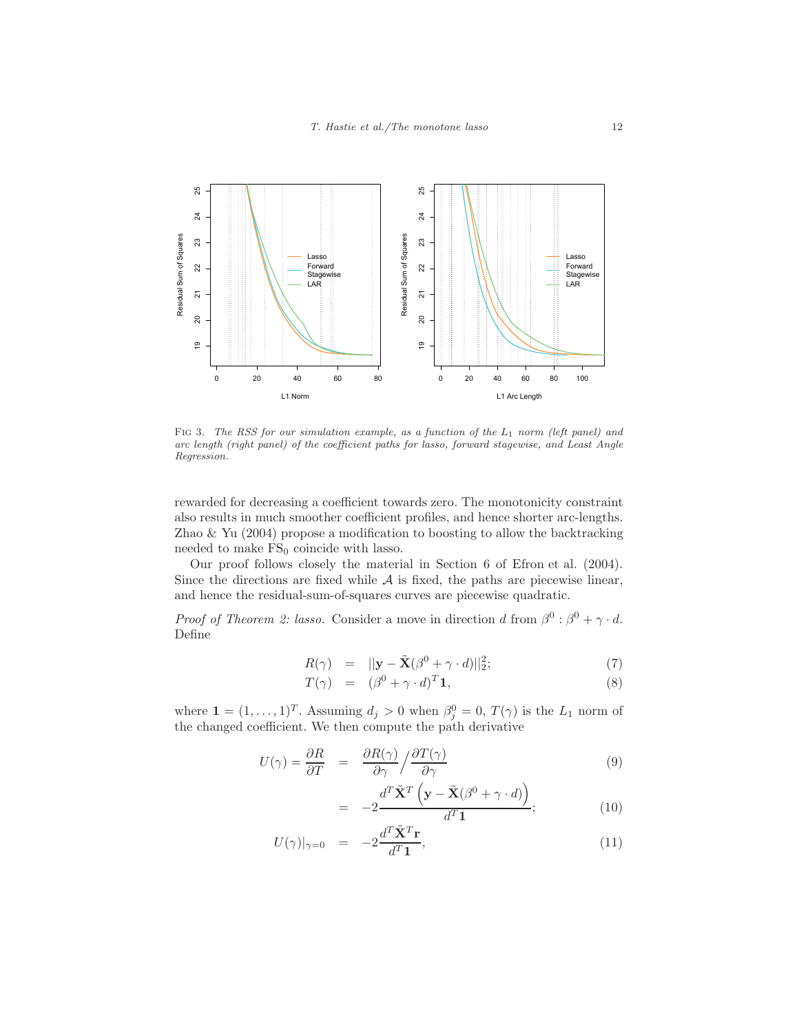

FIG 3. The RSS for our simulation example, as a function of the  $L_1$  norm (left panel) and arc length (right panel) of the coefficient paths for lasso, forward stagewise, and Least Angle Regression.

rewarded for decreasing a coefficient towards zero. The monotonicity constraint also results in much smoother coefficient profiles, and hence shorter arc-lengths. Zhao  $\&$  Yu (2004) propose a modification to boosting to allow the backtracking needed to make  $FS_0$  coincide with lasso.

Our proof follows closely the material in Section 6 of Efron et al. (2004). Since the directions are fixed while  $A$  is fixed, the paths are piecewise linear, and hence the residual-sum-of-squares curves are piecewise quadratic.

*Proof of Theorem 2: lasso.* Consider a move in direction d from  $\beta^0$  :  $\beta^0 + \gamma \cdot d$ . Define

$$
R(\gamma) = ||\mathbf{y} - \tilde{\mathbf{X}}(\beta^0 + \gamma \cdot d)||_2^2; \tag{7}
$$

$$
T(\gamma) = (\beta^0 + \gamma \cdot d)^T \mathbf{1}, \tag{8}
$$

where  $\mathbf{1} = (1, \ldots, 1)^T$ . Assuming  $d_j > 0$  when  $\beta_j^0 = 0$ ,  $T(\gamma)$  is the  $L_1$  norm of the changed coefficient. We then compute the path derivative

$$
U(\gamma) = \frac{\partial R}{\partial T} = \frac{\partial R(\gamma)}{\partial \gamma} / \frac{\partial T(\gamma)}{\partial \gamma}
$$
(9)

$$
= -2 \frac{d^T \tilde{\mathbf{X}}^T \left( \mathbf{y} - \tilde{\mathbf{X}} (\beta^0 + \gamma \cdot d) \right)}{d^T \mathbf{1}};
$$
 (10)

$$
U(\gamma)|_{\gamma=0} = -2\frac{d^T \tilde{\mathbf{X}}^T \mathbf{r}}{d^T \mathbf{1}},\tag{11}
$$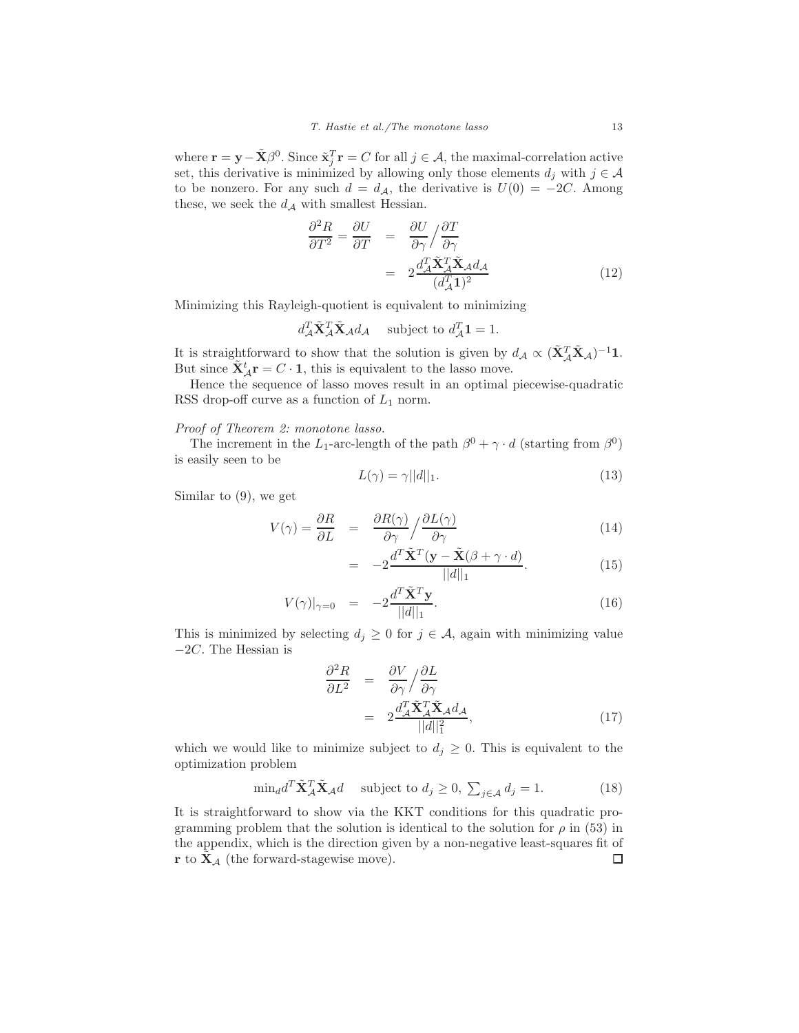where  $\mathbf{r} = \mathbf{y} - \tilde{\mathbf{X}}\beta^0$ . Since  $\tilde{\mathbf{x}}_i^T \mathbf{r} = C$  for all  $j \in \mathcal{A}$ , the maximal-correlation active set, this derivative is minimized by allowing only those elements  $d_j$  with  $j \in \mathcal{A}$ to be nonzero. For any such  $d = d_{\mathcal{A}}$ , the derivative is  $U(0) = -2C$ . Among these, we seek the  $d_{\mathcal{A}}$  with smallest Hessian.

$$
\frac{\partial^2 R}{\partial T^2} = \frac{\partial U}{\partial T} = \frac{\partial U}{\partial \gamma} / \frac{\partial T}{\partial \gamma} \n= 2 \frac{d_A^T \tilde{\mathbf{X}}_A^T \tilde{\mathbf{X}}_A d_A}{(d_A^T \mathbf{1})^2}
$$
\n(12)

Minimizing this Rayleigh-quotient is equivalent to minimizing

$$
d_{\mathcal{A}}^T \tilde{\mathbf{X}}_{\mathcal{A}}^T \tilde{\mathbf{X}}_{\mathcal{A}} d_{\mathcal{A}} \quad \text{subject to } d_{\mathcal{A}}^T \mathbf{1} = 1.
$$

It is straightforward to show that the solution is given by  $d_A \propto (\tilde{\mathbf{X}}_A^T \tilde{\mathbf{X}}_A)^{-1} \mathbf{1}$ . But since  $\tilde{\mathbf{X}}_{\mathcal{A}}^t \mathbf{r} = C \cdot \mathbf{1}$ , this is equivalent to the lasso move.

Hence the sequence of lasso moves result in an optimal piecewise-quadratic RSS drop-off curve as a function of  $L_1$  norm.

#### Proof of Theorem 2: monotone lasso.

The increment in the L<sub>1</sub>-arc-length of the path  $\beta^0 + \gamma \cdot d$  (starting from  $\beta^0$ ) is easily seen to be

$$
L(\gamma) = \gamma ||d||_1. \tag{13}
$$

Similar to (9), we get

$$
V(\gamma) = \frac{\partial R}{\partial L} = \frac{\partial R(\gamma)}{\partial \gamma} / \frac{\partial L(\gamma)}{\partial \gamma}
$$
(14)

$$
= -2 \frac{d^T \tilde{\mathbf{X}}^T (\mathbf{y} - \tilde{\mathbf{X}}(\beta + \gamma \cdot d)}{||d||_1}.
$$
 (15)

$$
V(\gamma)|_{\gamma=0} = -2 \frac{d^T \tilde{\mathbf{X}}^T \mathbf{y}}{||d||_1}.
$$
 (16)

This is minimized by selecting  $d_i \geq 0$  for  $j \in \mathcal{A}$ , again with minimizing value −2C. The Hessian is

$$
\frac{\partial^2 R}{\partial L^2} = \frac{\partial V}{\partial \gamma} / \frac{\partial L}{\partial \gamma} \n= 2 \frac{d_A^T \tilde{\mathbf{X}}_A^T \tilde{\mathbf{X}}_A d_A}{||d||_1^2},
$$
\n(17)

which we would like to minimize subject to  $d_i \geq 0$ . This is equivalent to the optimization problem

$$
\min_{d} d^{T} \tilde{\mathbf{X}}_{\mathcal{A}}^{T} \tilde{\mathbf{X}}_{\mathcal{A}} d \quad \text{subject to } d_{j} \ge 0, \ \sum_{j \in \mathcal{A}} d_{j} = 1. \tag{18}
$$

It is straightforward to show via the KKT conditions for this quadratic programming problem that the solution is identical to the solution for  $\rho$  in (53) in the appendix, which is the direction given by a non-negative least-squares fit of **r** to  $\tilde{\mathbf{X}}_{\mathcal{A}}$  (the forward-stagewise move).  $\Box$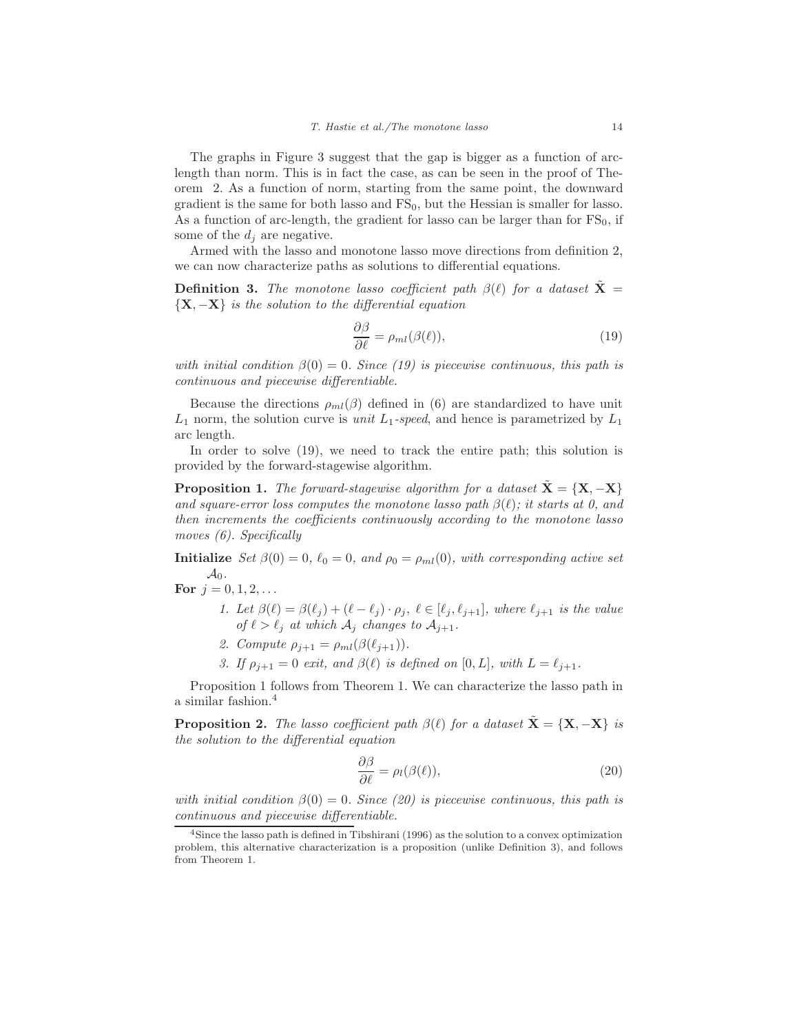The graphs in Figure 3 suggest that the gap is bigger as a function of arclength than norm. This is in fact the case, as can be seen in the proof of Theorem 2. As a function of norm, starting from the same point, the downward gradient is the same for both lasso and  $FS_0$ , but the Hessian is smaller for lasso. As a function of arc-length, the gradient for lasso can be larger than for  $FS_0$ , if some of the  $d_i$  are negative.

Armed with the lasso and monotone lasso move directions from definition 2, we can now characterize paths as solutions to differential equations.

**Definition 3.** The monotone lasso coefficient path  $\beta(\ell)$  for a dataset  $\tilde{\mathbf{X}} =$  ${\bf \{X, -X\}}$  is the solution to the differential equation

$$
\frac{\partial \beta}{\partial \ell} = \rho_{ml}(\beta(\ell)),\tag{19}
$$

with initial condition  $\beta(0) = 0$ . Since (19) is piecewise continuous, this path is continuous and piecewise differentiable.

Because the directions  $\rho_{ml}(\beta)$  defined in (6) are standardized to have unit  $L_1$  norm, the solution curve is *unit*  $L_1$ -speed, and hence is parametrized by  $L_1$ arc length.

In order to solve (19), we need to track the entire path; this solution is provided by the forward-stagewise algorithm.

**Proposition 1.** The forward-stagewise algorithm for a dataset  $\tilde{\mathbf{X}} = {\mathbf{X}, -\mathbf{X}}$ and square-error loss computes the monotone lasso path  $\beta(\ell)$ ; it starts at 0, and then increments the coefficients continuously according to the monotone lasso moves (6). Specifically

**Initialize** Set  $\beta(0) = 0$ ,  $\ell_0 = 0$ , and  $\rho_0 = \rho_{ml}(0)$ , with corresponding active set  $\mathcal{A}_0$ .

- **For**  $j = 0, 1, 2, ...$ 
	- 1. Let  $\beta(\ell) = \beta(\ell_j) + (\ell \ell_j) \cdot \rho_j$ ,  $\ell \in [\ell_j, \ell_{j+1}]$ , where  $\ell_{j+1}$  is the value of  $\ell > \ell_i$  at which  $\mathcal{A}_i$  changes to  $\mathcal{A}_{i+1}$ .
	- 2. Compute  $\rho_{j+1} = \rho_{ml}(\beta(\ell_{j+1}))$ .
	- 3. If  $\rho_{i+1} = 0$  exit, and  $\beta(\ell)$  is defined on [0, L], with  $L = \ell_{i+1}$ .

Proposition 1 follows from Theorem 1. We can characterize the lasso path in a similar fashion.<sup>4</sup>

**Proposition 2.** The lasso coefficient path  $\beta(\ell)$  for a dataset  $\tilde{\mathbf{X}} = {\mathbf{X}, -\mathbf{X}}$  is the solution to the differential equation

$$
\frac{\partial \beta}{\partial \ell} = \rho_l(\beta(\ell)),\tag{20}
$$

with initial condition  $\beta(0) = 0$ . Since (20) is piecewise continuous, this path is continuous and piecewise differentiable.

<sup>4</sup>Since the lasso path is defined in Tibshirani (1996) as the solution to a convex optimization problem, this alternative characterization is a proposition (unlike Definition 3), and follows from Theorem 1.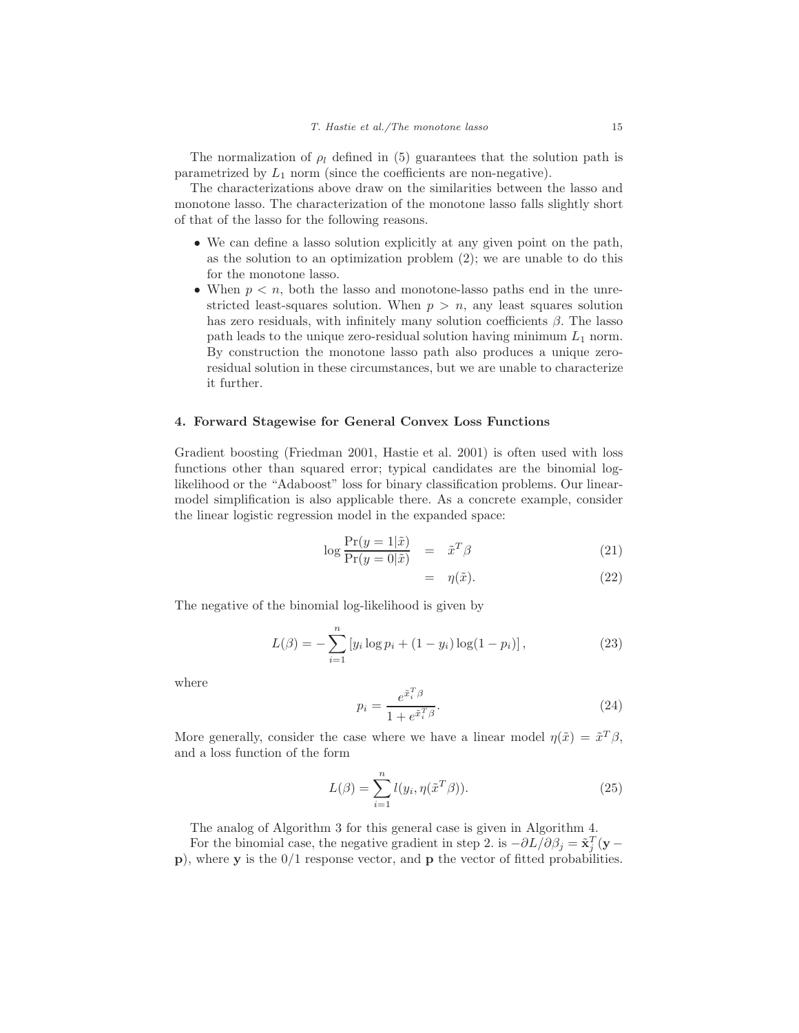The normalization of  $\rho_l$  defined in (5) guarantees that the solution path is parametrized by  $L_1$  norm (since the coefficients are non-negative).

The characterizations above draw on the similarities between the lasso and monotone lasso. The characterization of the monotone lasso falls slightly short of that of the lasso for the following reasons.

- We can define a lasso solution explicitly at any given point on the path, as the solution to an optimization problem (2); we are unable to do this for the monotone lasso.
- When  $p < n$ , both the lasso and monotone-lasso paths end in the unrestricted least-squares solution. When  $p > n$ , any least squares solution has zero residuals, with infinitely many solution coefficients  $\beta$ . The lasso path leads to the unique zero-residual solution having minimum  $L_1$  norm. By construction the monotone lasso path also produces a unique zeroresidual solution in these circumstances, but we are unable to characterize it further.

### **4. Forward Stagewise for General Convex Loss Functions**

Gradient boosting (Friedman 2001, Hastie et al. 2001) is often used with loss functions other than squared error; typical candidates are the binomial loglikelihood or the "Adaboost" loss for binary classification problems. Our linearmodel simplification is also applicable there. As a concrete example, consider the linear logistic regression model in the expanded space:

$$
\log \frac{\Pr(y=1|\tilde{x})}{\Pr(y=0|\tilde{x})} = \tilde{x}^T \beta \tag{21}
$$

$$
= \eta(\tilde{x}). \tag{22}
$$

The negative of the binomial log-likelihood is given by

$$
L(\beta) = -\sum_{i=1}^{n} \left[ y_i \log p_i + (1 - y_i) \log(1 - p_i) \right],
$$
 (23)

where

$$
p_i = \frac{e^{\tilde{x}_i^T \beta}}{1 + e^{\tilde{x}_i^T \beta}}.\tag{24}
$$

More generally, consider the case where we have a linear model  $\eta(\tilde{x}) = \tilde{x}^T \beta$ , and a loss function of the form

$$
L(\beta) = \sum_{i=1}^{n} l(y_i, \eta(\tilde{x}^T \beta)).
$$
\n(25)

The analog of Algorithm 3 for this general case is given in Algorithm 4.

n

For the binomial case, the negative gradient in step 2. is  $-\partial L/\partial \beta_i = \tilde{\mathbf{x}}_i^T(\mathbf{y} - \mathbf{z}_i)$ **p**), where **y** is the 0/1 response vector, and **p** the vector of fitted probabilities.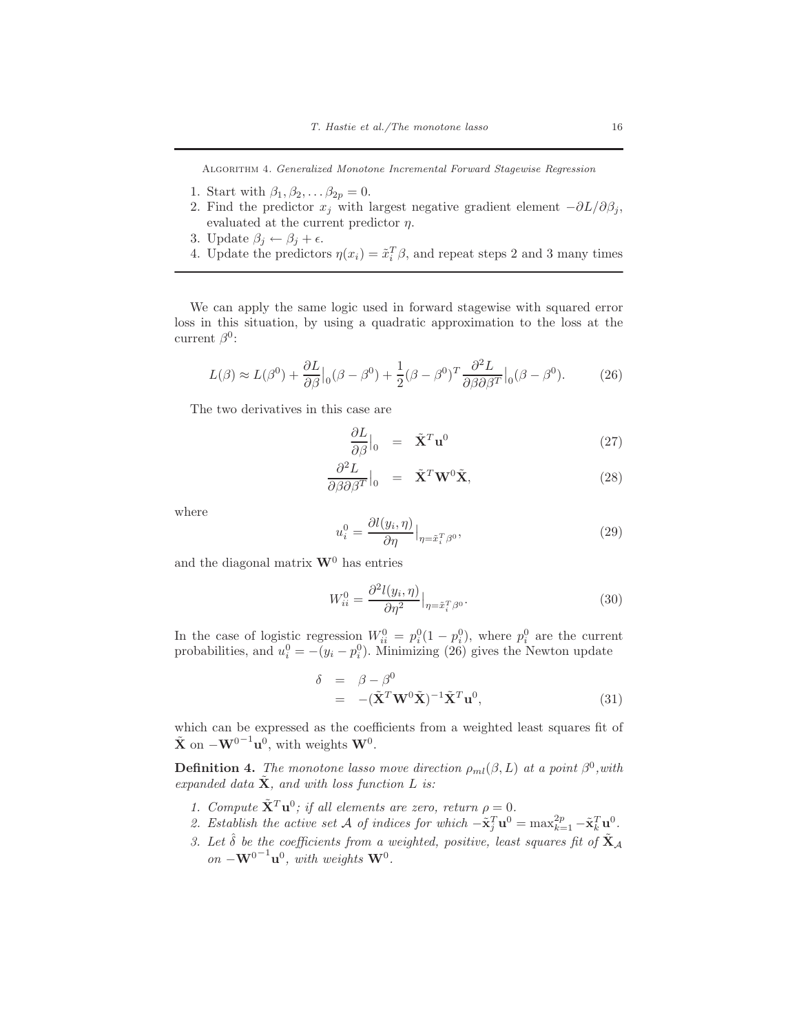Algorithm 4. Generalized Monotone Incremental Forward Stagewise Regression

- 1. Start with  $\beta_1, \beta_2, \ldots \beta_{2p} = 0$ .
- 2. Find the predictor  $x_j$  with largest negative gradient element  $-\partial L/\partial \beta_j$ , evaluated at the current predictor  $\eta$ .
- 3. Update  $\beta_j \leftarrow \beta_j + \epsilon$ .
- 4. Update the predictors  $\eta(x_i) = \tilde{x}_i^T \beta$ , and repeat steps 2 and 3 many times

We can apply the same logic used in forward stagewise with squared error loss in this situation, by using a quadratic approximation to the loss at the current  $\beta^0$ :

$$
L(\beta) \approx L(\beta^0) + \frac{\partial L}{\partial \beta}\Big|_{0} (\beta - \beta^0) + \frac{1}{2} (\beta - \beta^0)^T \frac{\partial^2 L}{\partial \beta \partial \beta^T}\Big|_{0} (\beta - \beta^0). \tag{26}
$$

The two derivatives in this case are

$$
\frac{\partial L}{\partial \beta}\Big|_{0} = \tilde{\mathbf{X}}^{T} \mathbf{u}^{0}
$$
 (27)

$$
\frac{\partial^2 L}{\partial \beta \partial \beta^T}\Big|_0 = \tilde{\mathbf{X}}^T \mathbf{W}^0 \tilde{\mathbf{X}},\tag{28}
$$

where

$$
u_i^0 = \frac{\partial l(y_i, \eta)}{\partial \eta} \big|_{\eta = \tilde{x}_i^T \beta^0},\tag{29}
$$

and the diagonal matrix  $\mathbf{W}^0$  has entries

$$
W_{ii}^0 = \frac{\partial^2 l(y_i, \eta)}{\partial \eta^2} \Big|_{\eta = \tilde{x}_i^T \beta^0}.
$$
\n(30)

In the case of logistic regression  $W_{ii}^0 = p_i^0(1-p_i^0)$ , where  $p_i^0$  are the current probabilities, and  $u_i^0 = -(y_i - p_i^0)$ . Minimizing (26) gives the Newton update

$$
\delta = \beta - \beta^0
$$
  
= -(\tilde{\mathbf{X}}^T \mathbf{W}^0 \tilde{\mathbf{X}})^{-1} \tilde{\mathbf{X}}^T \mathbf{u}^0, \qquad (31)

which can be expressed as the coefficients from a weighted least squares fit of  $\tilde{\mathbf{X}}$  on  $-\mathbf{W}^{0^{-1}}\mathbf{u}^0$ , with weights  $\mathbf{W}^0$ .

**Definition 4.** The monotone lasso move direction  $\rho_{ml}(\beta, L)$  at a point  $\beta^0$ , with expanded data  $\tilde{\mathbf{X}}$ , and with loss function L is:

- 1. Compute  $\tilde{\mathbf{X}}^T \mathbf{u}^0$ ; if all elements are zero, return  $\rho = 0$ .
- 2. Establish the active set A of indices for which  $-\tilde{\mathbf{x}}_j^T \mathbf{u}^0 = \max_{k=1}^{2p} -\tilde{\mathbf{x}}_k^T \mathbf{u}^0$ .
- 3. Let  $\hat{\delta}$  be the coefficients from a weighted, positive, least squares fit of  $\tilde{\mathbf{X}}_{\mathcal{A}}$  $on$  −**W**<sup>0−1</sup>**u**<sup>0</sup>, with weights **W**<sup>0</sup>.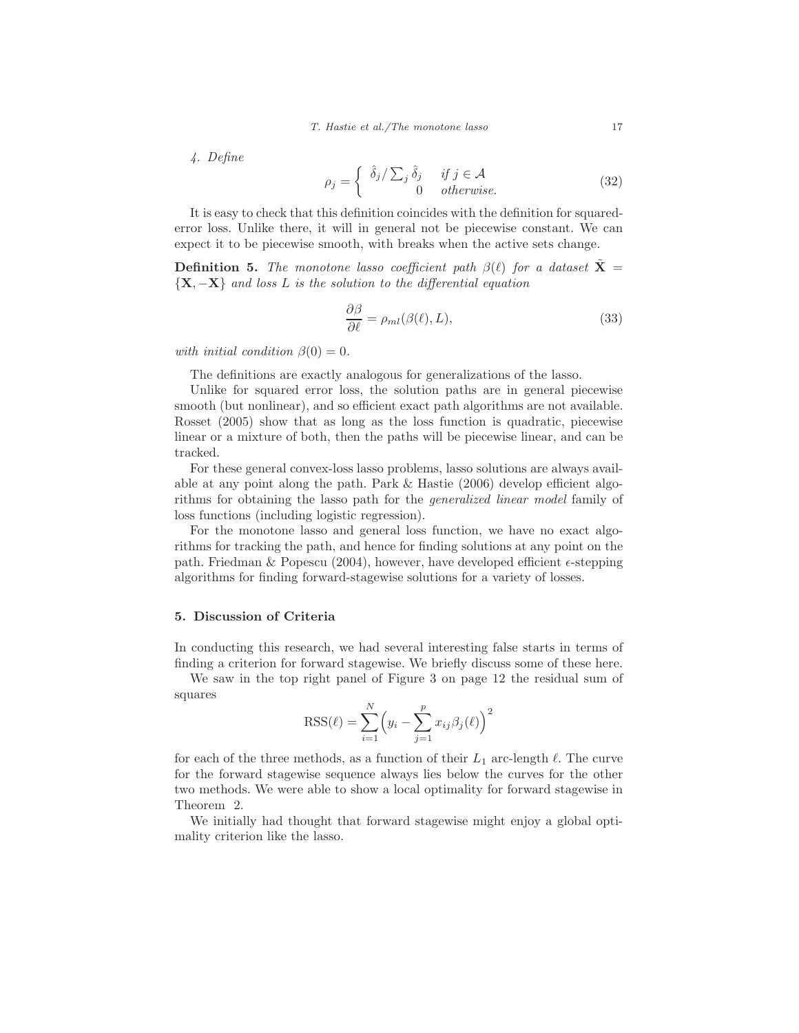4. Define

$$
\rho_j = \begin{cases} \hat{\delta}_j / \sum_j \hat{\delta}_j & \text{if } j \in \mathcal{A} \\ 0 & \text{otherwise.} \end{cases}
$$
 (32)

It is easy to check that this definition coincides with the definition for squarederror loss. Unlike there, it will in general not be piecewise constant. We can expect it to be piecewise smooth, with breaks when the active sets change.

**Definition 5.** The monotone lasso coefficient path  $\beta(\ell)$  for a dataset **X** =  ${\bf \{X, -X\}}$  and loss L is the solution to the differential equation

$$
\frac{\partial \beta}{\partial \ell} = \rho_{ml}(\beta(\ell), L), \tag{33}
$$

with initial condition  $\beta(0) = 0$ .

The definitions are exactly analogous for generalizations of the lasso.

Unlike for squared error loss, the solution paths are in general piecewise smooth (but nonlinear), and so efficient exact path algorithms are not available. Rosset (2005) show that as long as the loss function is quadratic, piecewise linear or a mixture of both, then the paths will be piecewise linear, and can be tracked.

For these general convex-loss lasso problems, lasso solutions are always available at any point along the path. Park & Hastie (2006) develop efficient algorithms for obtaining the lasso path for the generalized linear model family of loss functions (including logistic regression).

For the monotone lasso and general loss function, we have no exact algorithms for tracking the path, and hence for finding solutions at any point on the path. Friedman & Popescu (2004), however, have developed efficient  $\epsilon$ -stepping algorithms for finding forward-stagewise solutions for a variety of losses.

# **5. Discussion of Criteria**

In conducting this research, we had several interesting false starts in terms of finding a criterion for forward stagewise. We briefly discuss some of these here.

We saw in the top right panel of Figure 3 on page 12 the residual sum of squares

$$
RSS(\ell) = \sum_{i=1}^{N} (y_i - \sum_{j=1}^{p} x_{ij} \beta_j(\ell))^{2}
$$

for each of the three methods, as a function of their  $L_1$  arc-length  $\ell$ . The curve for the forward stagewise sequence always lies below the curves for the other two methods. We were able to show a local optimality for forward stagewise in Theorem 2.

We initially had thought that forward stagewise might enjoy a global optimality criterion like the lasso.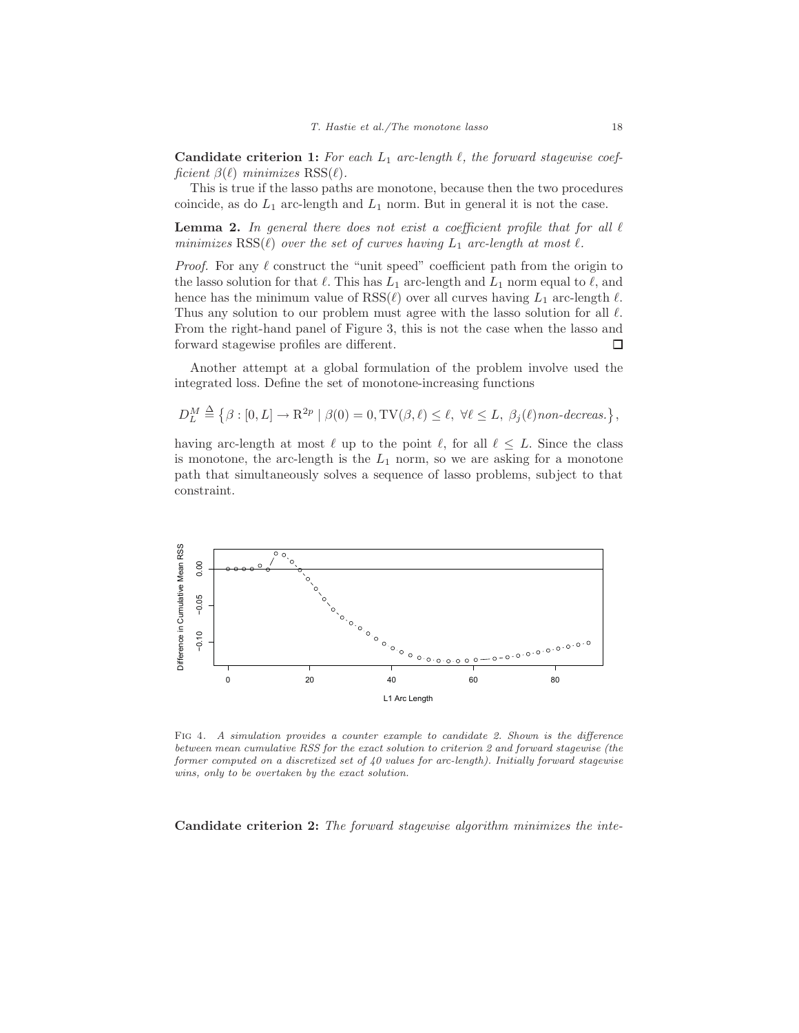**Candidate criterion 1:** For each  $L_1$  arc-length  $\ell$ , the forward stagewise coefficient  $\beta(\ell)$  minimizes  $RSS(\ell)$ .

This is true if the lasso paths are monotone, because then the two procedures coincide, as do  $L_1$  arc-length and  $L_1$  norm. But in general it is not the case.

**Lemma 2.** In general there does not exist a coefficient profile that for all  $\ell$ minimizes  $RSS(\ell)$  over the set of curves having  $L_1$  arc-length at most  $\ell$ .

*Proof.* For any  $\ell$  construct the "unit speed" coefficient path from the origin to the lasso solution for that  $\ell$ . This has  $L_1$  arc-length and  $L_1$  norm equal to  $\ell$ , and hence has the minimum value of  $RSS(\ell)$  over all curves having  $L_1$  arc-length  $\ell$ . Thus any solution to our problem must agree with the lasso solution for all  $\ell$ . From the right-hand panel of Figure 3, this is not the case when the lasso and forward stagewise profiles are different. □

Another attempt at a global formulation of the problem involve used the integrated loss. Define the set of monotone-increasing functions

$$
D_L^M \stackrel{\Delta}{=} \left\{\beta: [0,L] \to \mathbf{R}^{2p} \mid \beta(0)=0, \mathrm{TV}(\beta,\ell) \leq \ell, \; \forall \ell \leq L, \; \beta_j(\ell) \mathit{non-decreas.} \right\},
$$

having arc-length at most  $\ell$  up to the point  $\ell$ , for all  $\ell \leq L$ . Since the class is monotone, the arc-length is the  $L_1$  norm, so we are asking for a monotone path that simultaneously solves a sequence of lasso problems, subject to that constraint.



FIG 4. A simulation provides a counter example to candidate 2. Shown is the difference between mean cumulative RSS for the exact solution to criterion 2 and forward stagewise (the former computed on a discretized set of  $40$  values for arc-length). Initially forward stagewise wins, only to be overtaken by the exact solution.

**Candidate criterion 2:** The forward stagewise algorithm minimizes the inte-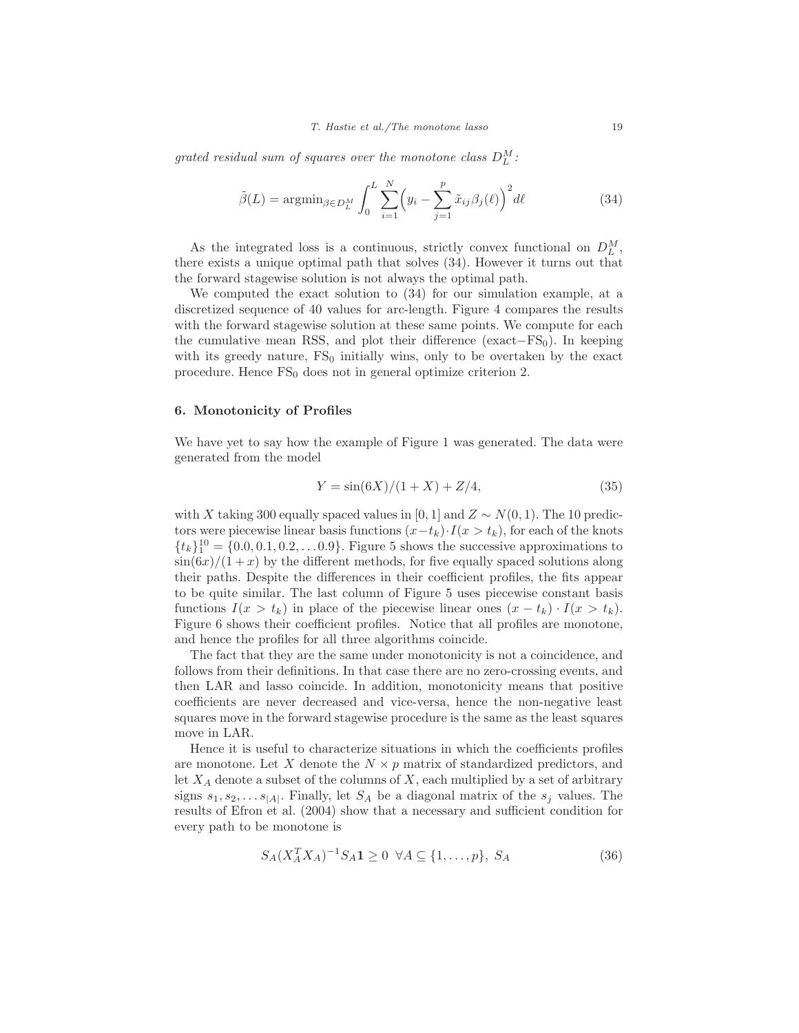grated residual sum of squares over the monotone class  $D_L^M$ :

$$
\tilde{\beta}(L) = \operatorname{argmin}_{\beta \in D_L^M} \int_0^L \sum_{i=1}^N \left( y_i - \sum_{j=1}^p \tilde{x}_{ij} \beta_j(\ell) \right)^2 d\ell \tag{34}
$$

As the integrated loss is a continuous, strictly convex functional on  $D_L^M$ , there exists a unique optimal path that solves (34). However it turns out that the forward stagewise solution is not always the optimal path.

We computed the exact solution to (34) for our simulation example, at a discretized sequence of 40 values for arc-length. Figure 4 compares the results with the forward stagewise solution at these same points. We compute for each the cumulative mean RSS, and plot their difference (exact– $FS_0$ ). In keeping with its greedy nature,  $FS_0$  initially wins, only to be overtaken by the exact procedure. Hence  $FS_0$  does not in general optimize criterion 2.

## **6. Monotonicity of Profiles**

We have yet to say how the example of Figure 1 was generated. The data were generated from the model

$$
Y = \sin(6X)/(1+X) + Z/4,
$$
\n(35)

with X taking 300 equally spaced values in [0, 1] and  $Z \sim N(0, 1)$ . The 10 predictors were piecewise linear basis functions  $(x-t_k)\cdot I(x>t_k)$ , for each of the knots  ${t_k}_1^{10} = \{0.0, 0.1, 0.2, \ldots 0.9\}$ . Figure 5 shows the successive approximations to  $\sin(6x)/(1+x)$  by the different methods, for five equally spaced solutions along their paths. Despite the differences in their coefficient profiles, the fits appear to be quite similar. The last column of Figure 5 uses piecewise constant basis functions  $I(x>t_k)$  in place of the piecewise linear ones  $(x-t_k) \cdot I(x>t_k)$ . Figure 6 shows their coefficient profiles. Notice that all profiles are monotone, and hence the profiles for all three algorithms coincide.

The fact that they are the same under monotonicity is not a coincidence, and follows from their definitions. In that case there are no zero-crossing events, and then LAR and lasso coincide. In addition, monotonicity means that positive coefficients are never decreased and vice-versa, hence the non-negative least squares move in the forward stagewise procedure is the same as the least squares move in LAR.

Hence it is useful to characterize situations in which the coefficients profiles are monotone. Let X denote the  $N \times p$  matrix of standardized predictors, and let  $X_A$  denote a subset of the columns of X, each multiplied by a set of arbitrary signs  $s_1, s_2, \ldots s_{|A|}$ . Finally, let  $S_A$  be a diagonal matrix of the  $s_j$  values. The results of Efron et al. (2004) show that a necessary and sufficient condition for every path to be monotone is

$$
S_A(X_A^T X_A)^{-1} S_A \mathbf{1} \ge 0 \ \forall A \subseteq \{1, \dots, p\}, \ S_A \tag{36}
$$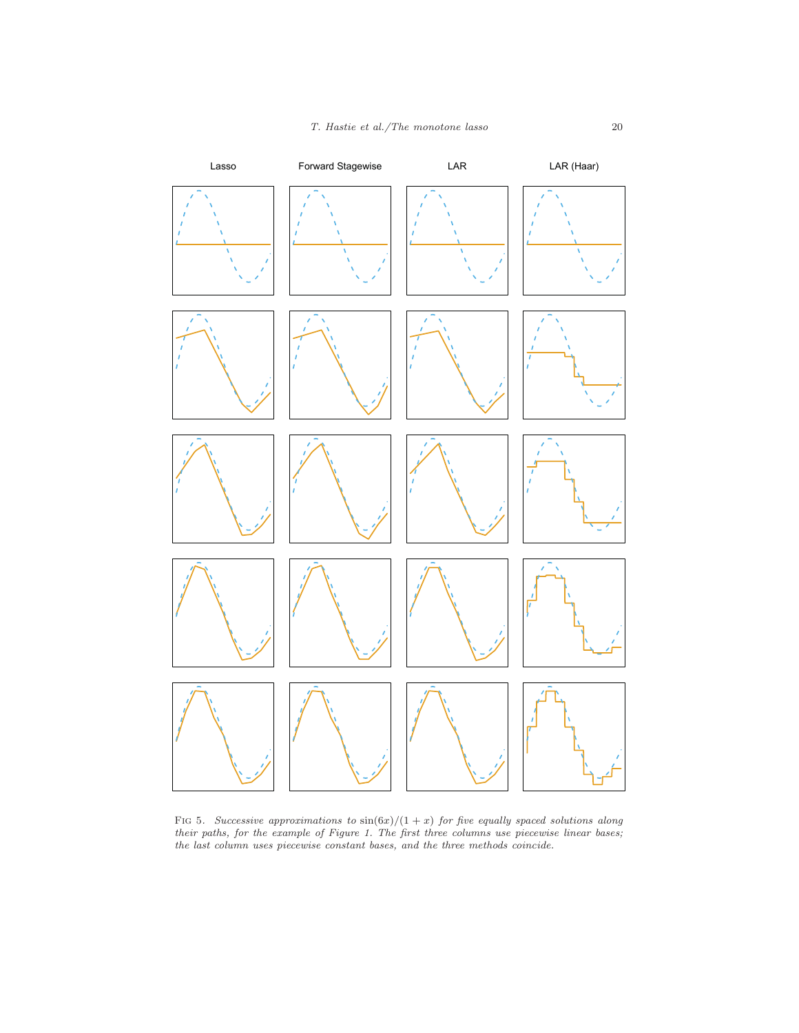

FIG 5. Successive approximations to  $\sin(6x)/(1+x)$  for five equally spaced solutions along their paths, for the example of Figure 1. The first three columns use piecewise linear bases; the last column uses piecewise constant bases, and the three methods coincide.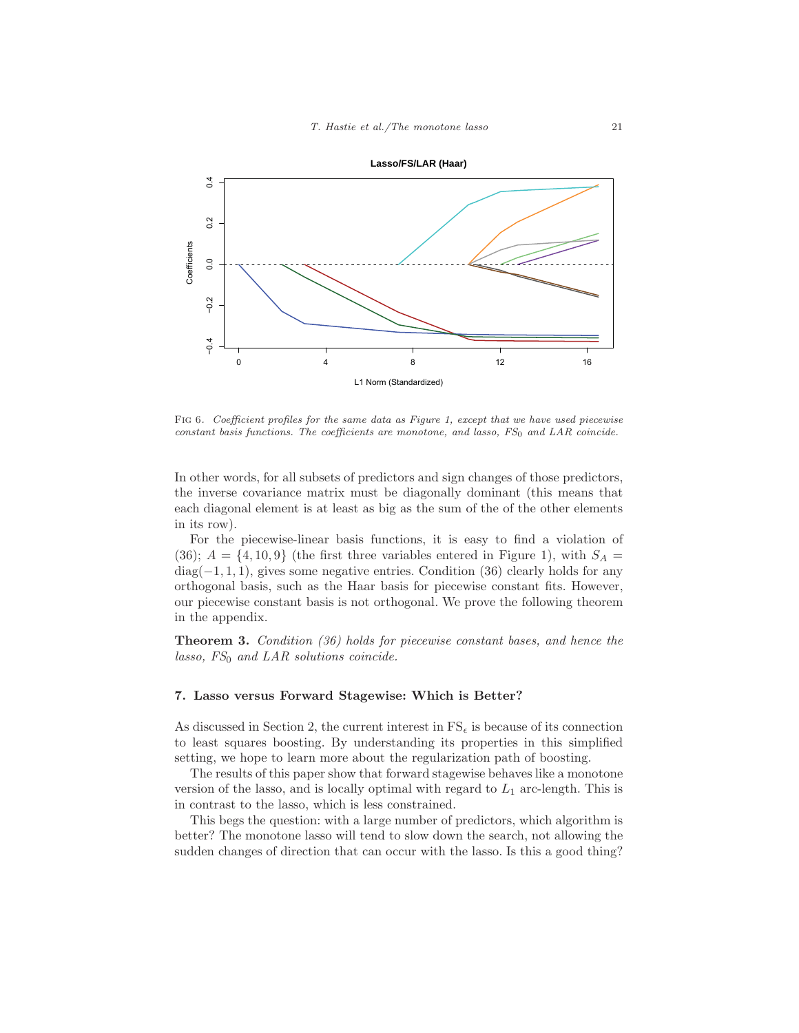

FIG 6. Coefficient profiles for the same data as Figure 1, except that we have used piecewise  $constant$  basis functions. The coefficients are monotone, and lasso,  $FS<sub>0</sub>$  and LAR coincide.

In other words, for all subsets of predictors and sign changes of those predictors, the inverse covariance matrix must be diagonally dominant (this means that each diagonal element is at least as big as the sum of the of the other elements in its row).

For the piecewise-linear basis functions, it is easy to find a violation of (36);  $A = \{4, 10, 9\}$  (the first three variables entered in Figure 1), with  $S_A =$  $diag(-1, 1, 1)$ , gives some negative entries. Condition (36) clearly holds for any orthogonal basis, such as the Haar basis for piecewise constant fits. However, our piecewise constant basis is not orthogonal. We prove the following theorem in the appendix.

**Theorem 3.** Condition (36) holds for piecewise constant bases, and hence the lasso,  $FS_0$  and LAR solutions coincide.

### **7. Lasso versus Forward Stagewise: Which is Better?**

As discussed in Section 2, the current interest in  $FS_{\epsilon}$  is because of its connection to least squares boosting. By understanding its properties in this simplified setting, we hope to learn more about the regularization path of boosting.

The results of this paper show that forward stagewise behaves like a monotone version of the lasso, and is locally optimal with regard to  $L_1$  arc-length. This is in contrast to the lasso, which is less constrained.

This begs the question: with a large number of predictors, which algorithm is better? The monotone lasso will tend to slow down the search, not allowing the sudden changes of direction that can occur with the lasso. Is this a good thing?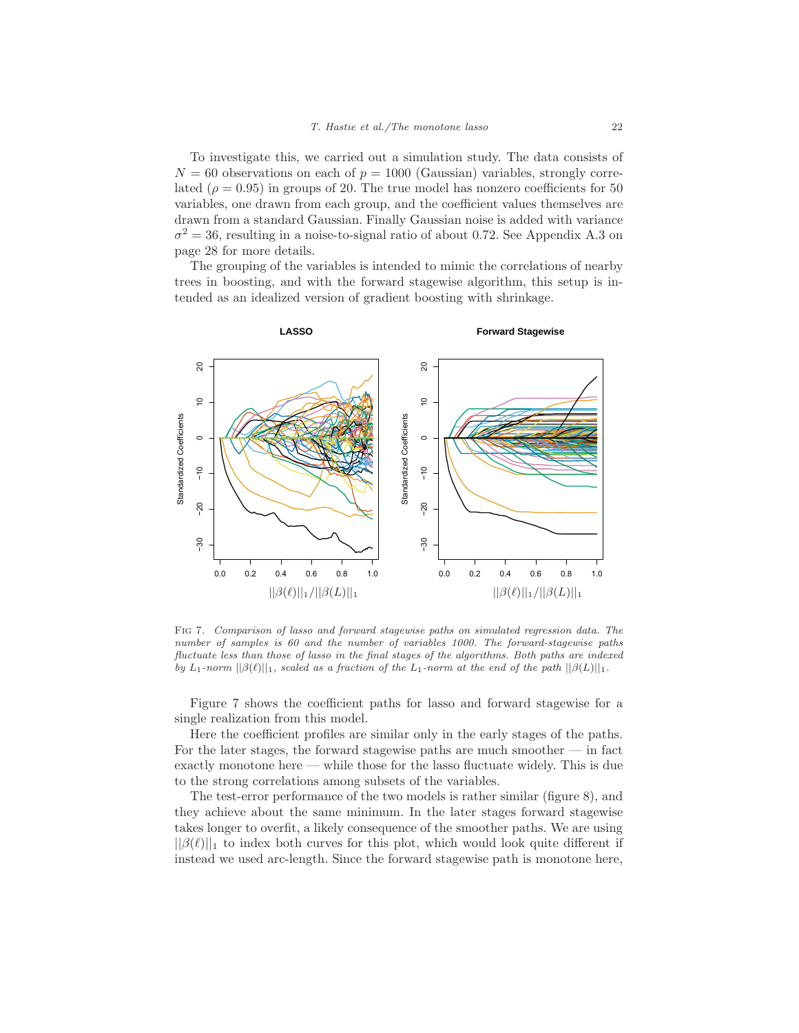To investigate this, we carried out a simulation study. The data consists of  $N = 60$  observations on each of  $p = 1000$  (Gaussian) variables, strongly correlated ( $\rho = 0.95$ ) in groups of 20. The true model has nonzero coefficients for 50 variables, one drawn from each group, and the coefficient values themselves are drawn from a standard Gaussian. Finally Gaussian noise is added with variance  $\sigma^2 = 36$ , resulting in a noise-to-signal ratio of about 0.72. See Appendix A.3 on page 28 for more details.

The grouping of the variables is intended to mimic the correlations of nearby trees in boosting, and with the forward stagewise algorithm, this setup is intended as an idealized version of gradient boosting with shrinkage.



Fig 7. Comparison of lasso and forward stagewise paths on simulated regression data. The number of samples is 60 and the number of variables 1000. The forward-stagewise paths fluctuate less than those of lasso in the final stages of the algorithms. Both paths are indexed by L<sub>1</sub>-norm  $||\beta(\ell)||_1$ , scaled as a fraction of the L<sub>1</sub>-norm at the end of the path  $||\beta(L)||_1$ .

Figure 7 shows the coefficient paths for lasso and forward stagewise for a single realization from this model.

Here the coefficient profiles are similar only in the early stages of the paths. For the later stages, the forward stagewise paths are much smoother — in fact exactly monotone here — while those for the lasso fluctuate widely. This is due to the strong correlations among subsets of the variables.

The test-error performance of the two models is rather similar (figure 8), and they achieve about the same minimum. In the later stages forward stagewise takes longer to overfit, a likely consequence of the smoother paths. We are using  $||\beta(\ell)||_1$  to index both curves for this plot, which would look quite different if instead we used arc-length. Since the forward stagewise path is monotone here,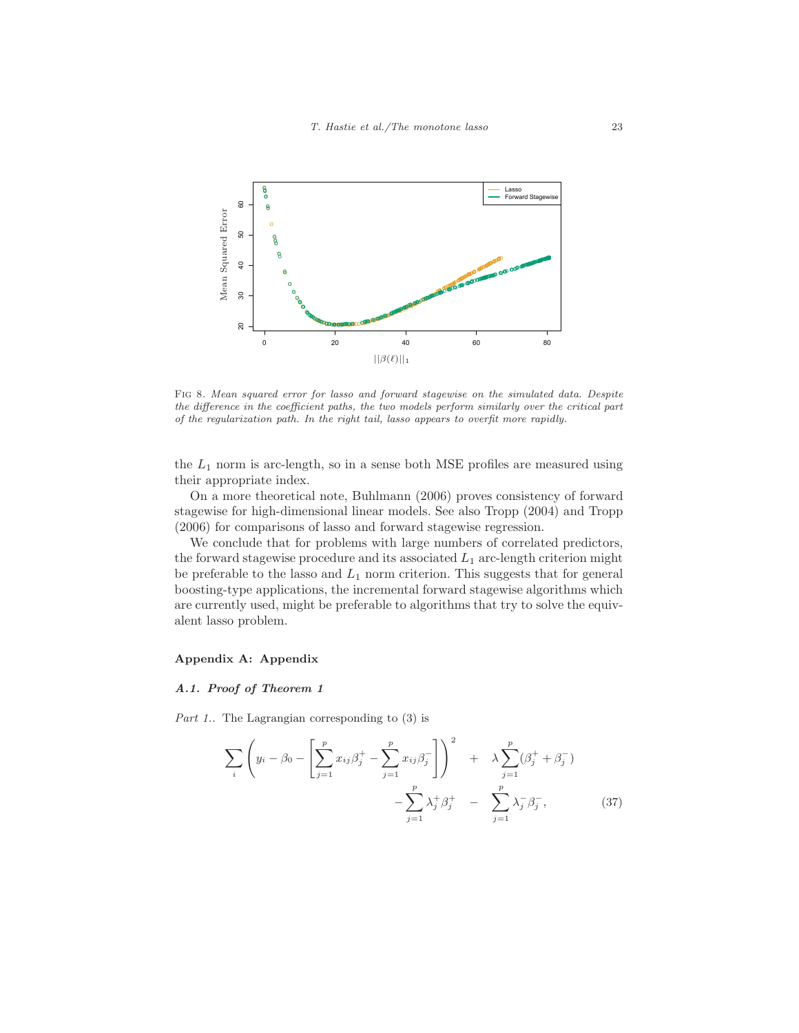

Fig 8. Mean squared error for lasso and forward stagewise on the simulated data. Despite the difference in the coefficient paths, the two models perform similarly over the critical part of the regularization path. In the right tail, lasso appears to overfit more rapidly.

the  $L_1$  norm is arc-length, so in a sense both MSE profiles are measured using their appropriate index.

On a more theoretical note, Buhlmann (2006) proves consistency of forward stagewise for high-dimensional linear models. See also Tropp (2004) and Tropp (2006) for comparisons of lasso and forward stagewise regression.

We conclude that for problems with large numbers of correlated predictors, the forward stagewise procedure and its associated  $L_1$  arc-length criterion might be preferable to the lasso and  $L_1$  norm criterion. This suggests that for general boosting-type applications, the incremental forward stagewise algorithms which are currently used, might be preferable to algorithms that try to solve the equivalent lasso problem.

# **Appendix A: Appendix**

#### **A.1. Proof of Theorem 1**

Part 1.. The Lagrangian corresponding to  $(3)$  is

$$
\sum_{i} \left( y_{i} - \beta_{0} - \left[ \sum_{j=1}^{p} x_{ij} \beta_{j}^{+} - \sum_{j=1}^{p} x_{ij} \beta_{j}^{-} \right] \right)^{2} + \lambda \sum_{j=1}^{p} (\beta_{j}^{+} + \beta_{j}^{-}) - \sum_{j=1}^{p} \lambda_{j}^{+} \beta_{j}^{+} - \sum_{j=1}^{p} \lambda_{j}^{-} \beta_{j}^{-},
$$
\n(37)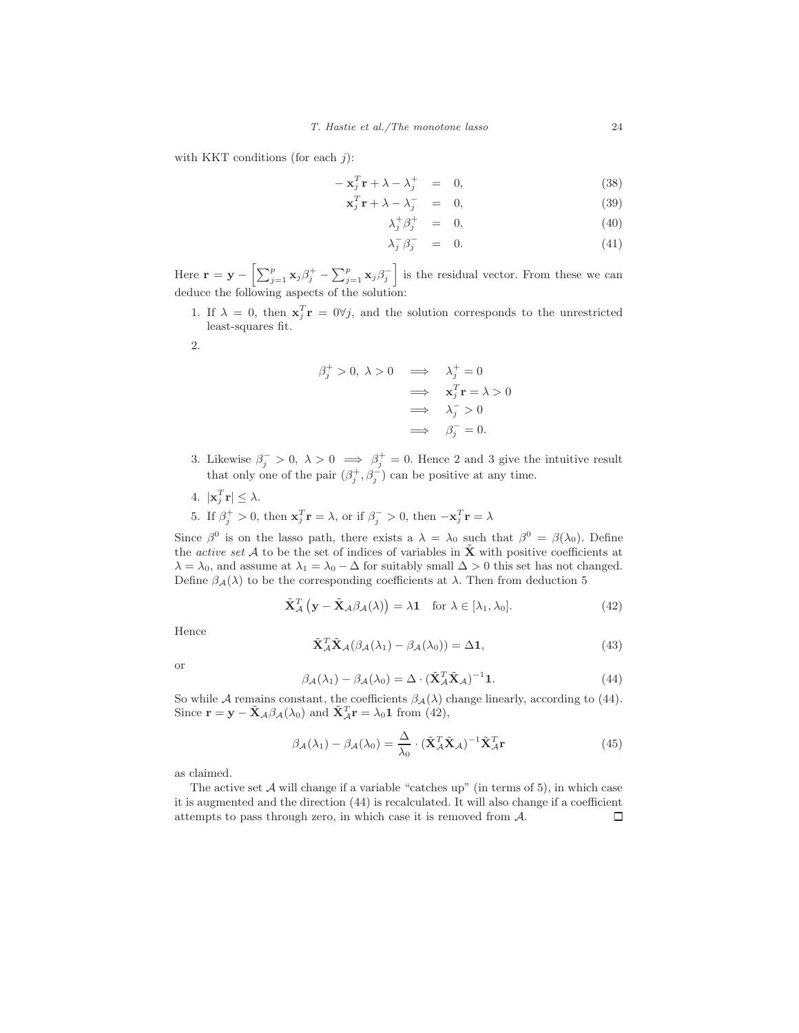with KKT conditions (for each  $j$ ):

$$
-\mathbf{x}_j^T \mathbf{r} + \lambda - \lambda_j^+ = 0, \qquad (38)
$$

$$
\mathbf{x}_j^T \mathbf{r} + \lambda - \lambda_j^- = 0, \tag{39}
$$

$$
\lambda_j^+ \beta_j^+ = 0, \tag{40}
$$

$$
\lambda_j^- \beta_j^- = 0. \tag{41}
$$

Here  $\mathbf{r} = \mathbf{y} - \left[ \sum_{j=1}^p \mathbf{x}_j \beta_j^+ - \sum_{j=1}^p \mathbf{x}_j \beta_j^- \right]$  is the residual vector. From these we can deduce the following aspects of the solution:

- 1. If  $\lambda = 0$ , then  $\mathbf{x}_j^T \mathbf{r} = 0 \forall j$ , and the solution corresponds to the unrestricted least-squares fit.
- 2.

$$
\beta_j^+ > 0, \ \lambda > 0 \quad \Longrightarrow \quad \lambda_j^+ = 0
$$
  

$$
\Longrightarrow \quad \mathbf{x}_j^T \mathbf{r} = \lambda > 0
$$
  

$$
\Longrightarrow \quad \lambda_j^- > 0
$$
  

$$
\Longrightarrow \quad \beta_j^- = 0.
$$

- 3. Likewise  $\beta_j^- > 0$ ,  $\lambda > 0 \implies \beta_j^+ = 0$ . Hence 2 and 3 give the intuitive result that only one of the pair  $(\beta_j^+, \beta_j^-)$  can be positive at any time.
- 4.  $|\mathbf{x}_j^T \mathbf{r}| \leq \lambda$ .
- 5. If  $\beta_j^+ > 0$ , then  $\mathbf{x}_j^T \mathbf{r} = \lambda$ , or if  $\beta_j^- > 0$ , then  $-\mathbf{x}_j^T \mathbf{r} = \lambda$

Since  $\beta^0$  is on the lasso path, there exists a  $\lambda = \lambda_0$  such that  $\beta^0 = \beta(\lambda_0)$ . Define the *active set* A to be the set of indices of variables in  $\tilde{\mathbf{X}}$  with positive coefficients at  $\lambda = \lambda_0$ , and assume at  $\lambda_1 = \lambda_0 - \Delta$  for suitably small  $\Delta > 0$  this set has not changed. Define  $\beta_{\mathcal{A}}(\lambda)$  to be the corresponding coefficients at  $\lambda$ . Then from deduction 5

$$
\tilde{\mathbf{X}}_{\mathcal{A}}^{T}\left(\mathbf{y}-\tilde{\mathbf{X}}_{\mathcal{A}}\beta_{\mathcal{A}}(\lambda)\right)=\lambda\mathbf{1} \quad \text{for } \lambda \in [\lambda_{1},\lambda_{0}].
$$
\n(42)

Hence

$$
\tilde{\mathbf{X}}_{\mathcal{A}}^T \tilde{\mathbf{X}}_{\mathcal{A}} (\beta_{\mathcal{A}} (\lambda_1) - \beta_{\mathcal{A}} (\lambda_0)) = \Delta \mathbf{1},\tag{43}
$$

or

$$
\beta_{\mathcal{A}}(\lambda_1) - \beta_{\mathcal{A}}(\lambda_0) = \Delta \cdot (\tilde{\mathbf{X}}_{\mathcal{A}}^T \tilde{\mathbf{X}}_{\mathcal{A}})^{-1} \mathbf{1}.
$$
 (44)

So while A remains constant, the coefficients  $\beta_{\mathcal{A}}(\lambda)$  change linearly, according to (44). Since  $\mathbf{r} = \mathbf{y} - \tilde{\mathbf{X}}_{\mathcal{A}} \beta_{\mathcal{A}}(\lambda_0)$  and  $\tilde{\mathbf{X}}_{\mathcal{A}}^T \mathbf{r} = \lambda_0 \mathbf{1}$  from (42),

$$
\beta_{\mathcal{A}}(\lambda_1) - \beta_{\mathcal{A}}(\lambda_0) = \frac{\Delta}{\lambda_0} \cdot (\tilde{\mathbf{X}}_{\mathcal{A}}^T \tilde{\mathbf{X}}_{\mathcal{A}})^{-1} \tilde{\mathbf{X}}_{\mathcal{A}}^T \mathbf{r}
$$
(45)

as claimed.

The active set  $A$  will change if a variable "catches up" (in terms of 5), in which case it is augmented and the direction (44) is recalculated. It will also change if a coefficient attempts to pass through zero, in which case it is removed from A. $\Box$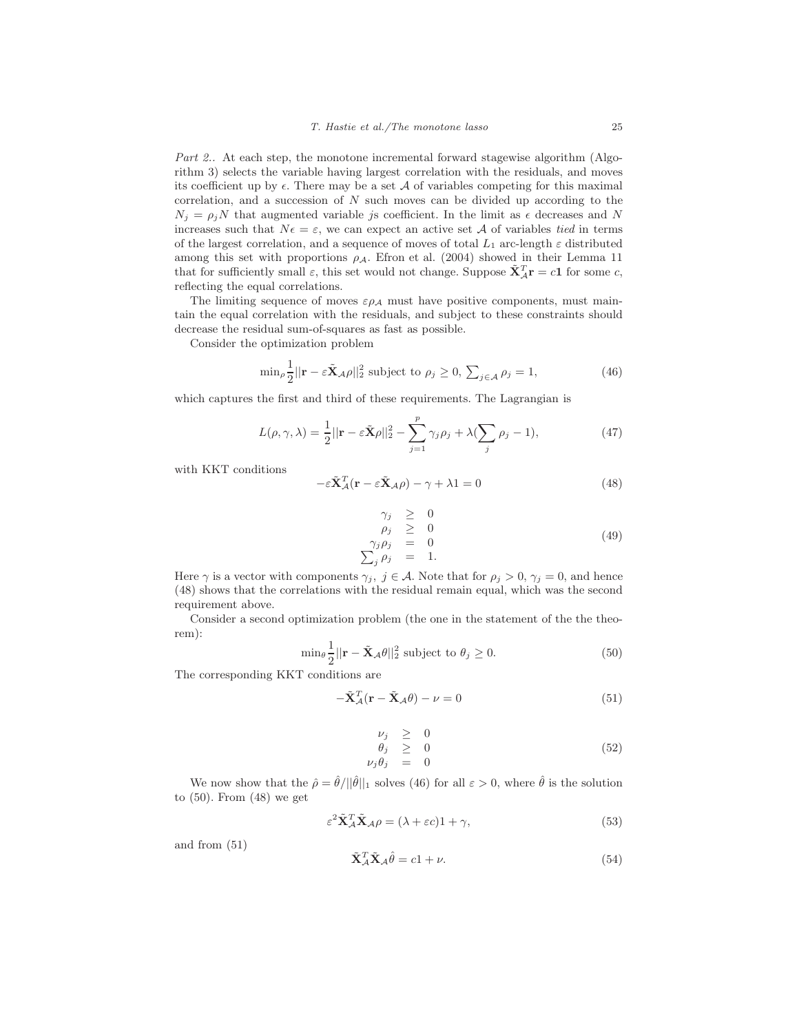Part 2.. At each step, the monotone incremental forward stagewise algorithm (Algorithm 3) selects the variable having largest correlation with the residuals, and moves its coefficient up by  $\epsilon$ . There may be a set A of variables competing for this maximal correlation, and a succession of  $N$  such moves can be divided up according to the  $N_j = \rho_j N$  that augmented variable js coefficient. In the limit as  $\epsilon$  decreases and N increases such that  $N\epsilon = \epsilon$ , we can expect an active set A of variables tied in terms of the largest correlation, and a sequence of moves of total  $L_1$  arc-length  $\varepsilon$  distributed among this set with proportions  $\rho_A$ . Efron et al. (2004) showed in their Lemma 11 that for sufficiently small  $\varepsilon$ , this set would not change. Suppose  $\tilde{\mathbf{X}}_{A}^{T}\mathbf{r} = c\mathbf{1}$  for some c, reflecting the equal correlations.

The limiting sequence of moves  $\varepsilon \rho_A$  must have positive components, must maintain the equal correlation with the residuals, and subject to these constraints should decrease the residual sum-of-squares as fast as possible.

Consider the optimization problem

$$
\min_{\rho} \frac{1}{2} ||\mathbf{r} - \varepsilon \tilde{\mathbf{X}}_{\mathcal{A}\rho}||_2^2 \text{ subject to } \rho_j \ge 0, \sum_{j \in \mathcal{A}} \rho_j = 1,
$$
 (46)

which captures the first and third of these requirements. The Lagrangian is

$$
L(\rho, \gamma, \lambda) = \frac{1}{2} ||\mathbf{r} - \varepsilon \tilde{\mathbf{X}} \rho||_2^2 - \sum_{j=1}^p \gamma_j \rho_j + \lambda (\sum_j \rho_j - 1), \tag{47}
$$

with KKT conditions

$$
-\varepsilon \tilde{\mathbf{X}}_{\mathcal{A}}^T(\mathbf{r} - \varepsilon \tilde{\mathbf{X}}_{\mathcal{A}} \rho) - \gamma + \lambda \mathbf{1} = 0
$$
\n(48)

$$
\begin{array}{rcl}\n\gamma_j & \geq & 0 \\
\rho_j & \geq & 0 \\
\gamma_j \rho_j & = & 0 \\
\sum_j \rho_j & = & 1.\n\end{array} \tag{49}
$$

Here  $\gamma$  is a vector with components  $\gamma_j$ ,  $j \in \mathcal{A}$ . Note that for  $\rho_j > 0$ ,  $\gamma_j = 0$ , and hence (48) shows that the correlations with the residual remain equal, which was the second requirement above.

Consider a second optimization problem (the one in the statement of the the theorem):

$$
\min_{\theta} \frac{1}{2} ||\mathbf{r} - \tilde{\mathbf{X}}_{\mathcal{A}} \theta||_2^2 \text{ subject to } \theta_j \ge 0. \tag{50}
$$

The corresponding KKT conditions are

$$
-\tilde{\mathbf{X}}_{\mathcal{A}}^{T}(\mathbf{r} - \tilde{\mathbf{X}}_{\mathcal{A}}\theta) - \nu = 0
$$
\n(51)

$$
\begin{array}{rcl}\n\nu_j & \geq & 0 \\
\theta_j & \geq & 0 \\
\nu_j \theta_j & = & 0\n\end{array} \tag{52}
$$

We now show that the  $\hat{\rho} = \hat{\theta}/||\hat{\theta}||_1$  solves (46) for all  $\varepsilon > 0$ , where  $\hat{\theta}$  is the solution to (50). From (48) we get

$$
\varepsilon^2 \tilde{\mathbf{X}}_{\mathcal{A}}^T \tilde{\mathbf{X}}_{\mathcal{A}} \rho = (\lambda + \varepsilon c) \mathbf{1} + \gamma,\tag{53}
$$

and from (51)

$$
\tilde{\mathbf{X}}_{\mathcal{A}}^T \tilde{\mathbf{X}}_{\mathcal{A}} \hat{\theta} = c \mathbf{1} + \nu. \tag{54}
$$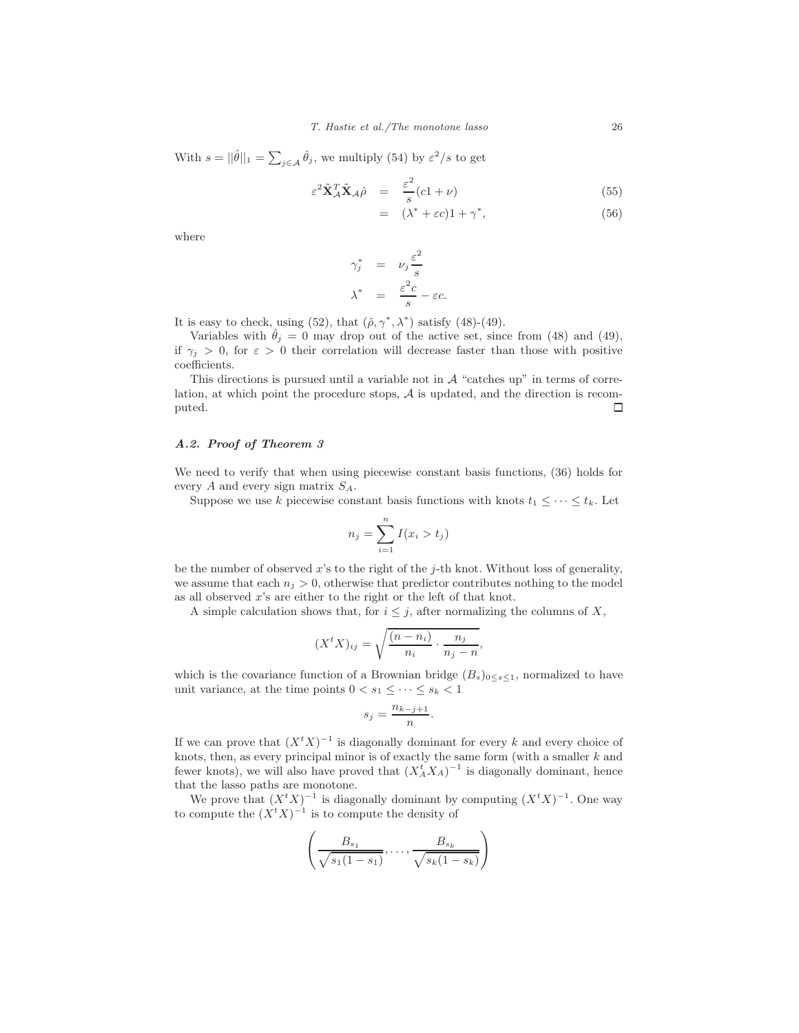With  $s = ||\hat{\theta}||_1 = \sum_{j \in \mathcal{A}} \hat{\theta}_j$ , we multiply (54) by  $\varepsilon^2/s$  to get

$$
\varepsilon^2 \tilde{\mathbf{X}}_A^T \tilde{\mathbf{X}}_A \hat{\rho} = \frac{\varepsilon^2}{s} (c1 + \nu) \tag{55}
$$

$$
= (\lambda^* + \varepsilon c) 1 + \gamma^*, \tag{56}
$$

where

$$
\gamma_j^* = \nu_j \frac{\varepsilon^2}{s}
$$

$$
\lambda^* = \frac{\varepsilon^2 c}{s} - \varepsilon c.
$$

It is easy to check, using (52), that  $(\hat{\rho}, \gamma^*, \lambda^*)$  satisfy (48)-(49).

Variables with  $\hat{\theta}_j = 0$  may drop out of the active set, since from (48) and (49), if  $\gamma_i > 0$ , for  $\varepsilon > 0$  their correlation will decrease faster than those with positive coefficients.

This directions is pursued until a variable not in  $A$  "catches up" in terms of correlation, at which point the procedure stops,  ${\mathcal A}$  is updated, and the direction is recomputed.  $\hfill \Box$ puted.

# **A.2. Proof of Theorem 3**

We need to verify that when using piecewise constant basis functions, (36) holds for every  $A$  and every sign matrix  $S_A$ .

Suppose we use k piecewise constant basis functions with knots  $t_1 \leq \cdots \leq t_k$ . Let

$$
n_j = \sum_{i=1}^n I(x_i > t_j)
$$

be the number of observed x's to the right of the  $i$ -th knot. Without loss of generality, we assume that each  $n_j > 0$ , otherwise that predictor contributes nothing to the model as all observed x's are either to the right or the left of that knot.

A simple calculation shows that, for  $i \leq j$ , after normalizing the columns of X,

$$
(X^t X)_{ij} = \sqrt{\frac{(n - n_i)}{n_i} \cdot \frac{n_j}{n_j - n}},
$$

which is the covariance function of a Brownian bridge  $(B_s)_{0 \leq s \leq 1}$ , normalized to have unit variance, at the time points  $0 < s_1 \leq \cdots \leq s_k < 1$ 

$$
s_j = \frac{n_{k-j+1}}{n}.
$$

If we can prove that  $(X<sup>t</sup> X)^{-1}$  is diagonally dominant for every k and every choice of knots, then, as every principal minor is of exactly the same form (with a smaller  $k$  and fewer knots), we will also have proved that  $(X_A^t X_A)^{-1}$  is diagonally dominant, hence that the lasso paths are monotone.

We prove that  $(X^t X)^{-1}$  is diagonally dominant by computing  $(X^t X)^{-1}$ . One way to compute the  $(X<sup>t</sup> X)^{-1}$  is to compute the density of

$$
\left(\frac{B_{s_1}}{\sqrt{s_1(1-s_1)}},\ldots,\frac{B_{s_k}}{\sqrt{s_k(1-s_k)}}\right)
$$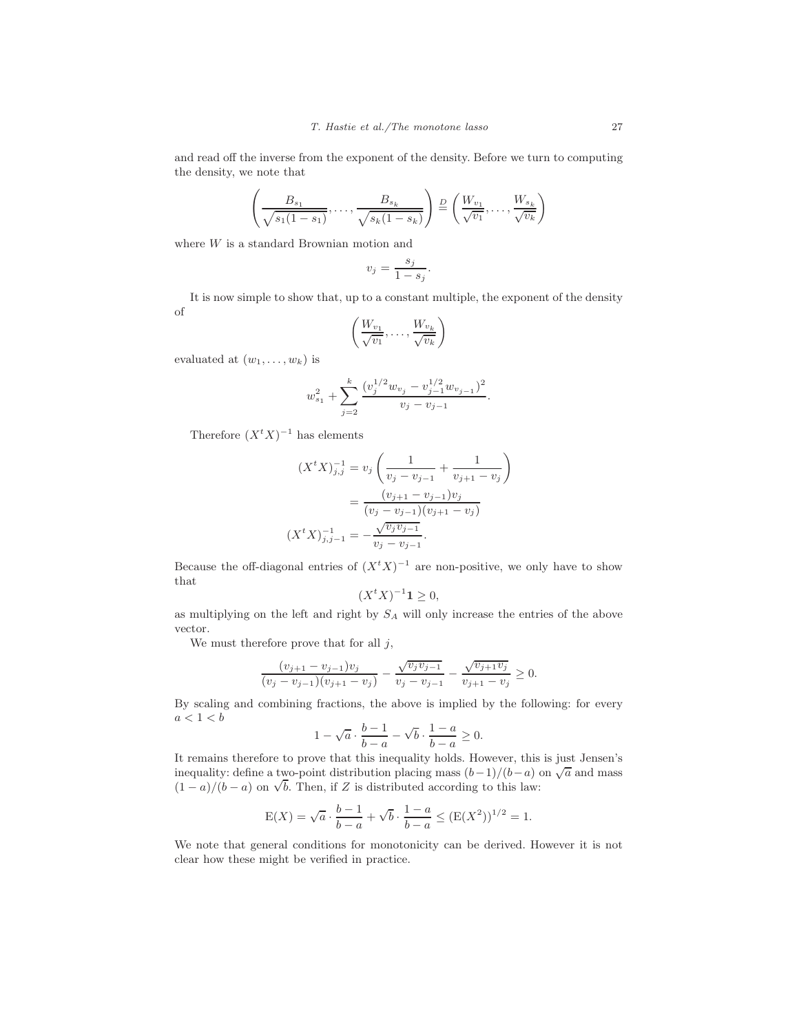and read off the inverse from the exponent of the density. Before we turn to computing the density, we note that

$$
\left(\frac{B_{s_1}}{\sqrt{s_1(1-s_1)}},\ldots,\frac{B_{s_k}}{\sqrt{s_k(1-s_k)}}\right) \stackrel{D}{=} \left(\frac{W_{v_1}}{\sqrt{v_1}},\ldots,\frac{W_{s_k}}{\sqrt{v_k}}\right)
$$

where  $W$  is a standard Brownian motion and

$$
v_j = \frac{s_j}{1 - s_j}.
$$

It is now simple to show that, up to a constant multiple, the exponent of the density of

$$
\left(\frac{W_{v_1}}{\sqrt{v_1}},\ldots,\frac{W_{v_k}}{\sqrt{v_k}}\right)
$$

evaluated at  $(w_1, \ldots, w_k)$  is

$$
w_{s_1}^2+\sum_{j=2}^k\frac{(v_j^{1/2}w_{v_j}-v_{j-1}^{1/2}w_{v_{j-1}})^2}{v_j-v_{j-1}}.
$$

Therefore  $(X<sup>t</sup> X)^{-1}$  has elements

$$
(XtX)^{-1}_{j,j} = v_j \left( \frac{1}{v_j - v_{j-1}} + \frac{1}{v_{j+1} - v_j} \right)
$$
  
= 
$$
\frac{(v_{j+1} - v_{j-1})v_j}{(v_j - v_{j-1})(v_{j+1} - v_j)}
$$
  

$$
(XtX)^{-1}_{j,j-1} = -\frac{\sqrt{v_j v_{j-1}}}{v_j - v_{j-1}}.
$$

Because the off-diagonal entries of  $(X<sup>t</sup> X)^{-1}$  are non-positive, we only have to show that

$$
(X^t X)^{-1} \mathbf{1} \ge 0,
$$

as multiplying on the left and right by  $S_A$  will only increase the entries of the above vector.

We must therefore prove that for all  $j$ ,

$$
\frac{(v_{j+1}-v_{j-1})v_j}{(v_j-v_{j-1})(v_{j+1}-v_j)}-\frac{\sqrt{v_jv_{j-1}}}{v_j-v_{j-1}}-\frac{\sqrt{v_{j+1}v_j}}{v_{j+1}-v_j}\geq 0.
$$

By scaling and combining fractions, the above is implied by the following: for every  $a < 1 < b$ 

$$
1 - \sqrt{a} \cdot \frac{b-1}{b-a} - \sqrt{b} \cdot \frac{1-a}{b-a} \ge 0.
$$

It remains therefore to prove that this inequality holds. However, this is just Jensen's inequality: define a two-point distribution placing mass  $(b-1)/(b-a)$  on  $\sqrt{a}$  and mass  $(1 - a)/(b - a)$  on  $\sqrt{b}$ . Then, if Z is distributed according to this law:

$$
E(X) = \sqrt{a} \cdot \frac{b-1}{b-a} + \sqrt{b} \cdot \frac{1-a}{b-a} \le (E(X^2))^{1/2} = 1.
$$

We note that general conditions for monotonicity can be derived. However it is not clear how these might be verified in practice.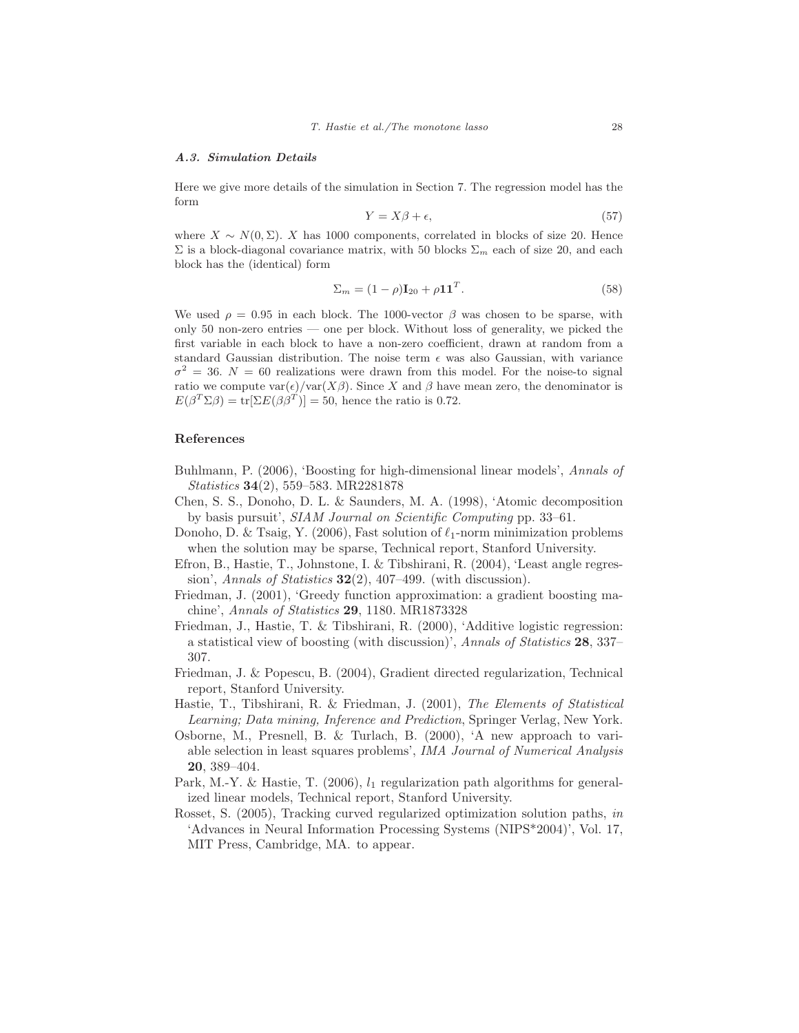#### **A.3. Simulation Details**

Here we give more details of the simulation in Section 7. The regression model has the form

$$
Y = X\beta + \epsilon,\tag{57}
$$

where  $X \sim N(0, \Sigma)$ . X has 1000 components, correlated in blocks of size 20. Hence  $\Sigma$  is a block-diagonal covariance matrix, with 50 blocks  $\Sigma_m$  each of size 20, and each block has the (identical) form

$$
\Sigma_m = (1 - \rho)\mathbf{I}_{20} + \rho \mathbf{11}^T. \tag{58}
$$

We used  $\rho = 0.95$  in each block. The 1000-vector  $\beta$  was chosen to be sparse, with only 50 non-zero entries — one per block. Without loss of generality, we picked the first variable in each block to have a non-zero coefficient, drawn at random from a standard Gaussian distribution. The noise term  $\epsilon$  was also Gaussian, with variance  $\sigma^2 = 36$ .  $N = 60$  realizations were drawn from this model. For the noise-to signal ratio we compute  $var(\epsilon)/var(X\beta)$ . Since X and  $\beta$  have mean zero, the denominator is  $E(\beta^T \Sigma \beta) = \text{tr}[\Sigma E(\beta \beta^T)] = 50$ , hence the ratio is 0.72.

#### **References**

- Buhlmann, P. (2006), 'Boosting for high-dimensional linear models', Annals of Statistics **34**(2), 559–583. MR2281878
- Chen, S. S., Donoho, D. L. & Saunders, M. A. (1998), 'Atomic decomposition by basis pursuit', SIAM Journal on Scientific Computing pp. 33–61.
- Donoho, D. & Tsaig, Y. (2006), Fast solution of  $\ell_1$ -norm minimization problems when the solution may be sparse, Technical report, Stanford University.
- Efron, B., Hastie, T., Johnstone, I. & Tibshirani, R. (2004), 'Least angle regression', Annals of Statistics **32**(2), 407–499. (with discussion).
- Friedman, J. (2001), 'Greedy function approximation: a gradient boosting machine', Annals of Statistics **29**, 1180. MR1873328
- Friedman, J., Hastie, T. & Tibshirani, R. (2000), 'Additive logistic regression: a statistical view of boosting (with discussion)', Annals of Statistics **28**, 337– 307.
- Friedman, J. & Popescu, B. (2004), Gradient directed regularization, Technical report, Stanford University.
- Hastie, T., Tibshirani, R. & Friedman, J. (2001), The Elements of Statistical Learning; Data mining, Inference and Prediction, Springer Verlag, New York.
- Osborne, M., Presnell, B. & Turlach, B. (2000), 'A new approach to variable selection in least squares problems', IMA Journal of Numerical Analysis **20**, 389–404.
- Park, M.-Y. & Hastie, T. (2006),  $l_1$  regularization path algorithms for generalized linear models, Technical report, Stanford University.
- Rosset, S. (2005), Tracking curved regularized optimization solution paths, in 'Advances in Neural Information Processing Systems (NIPS\*2004)', Vol. 17, MIT Press, Cambridge, MA. to appear.